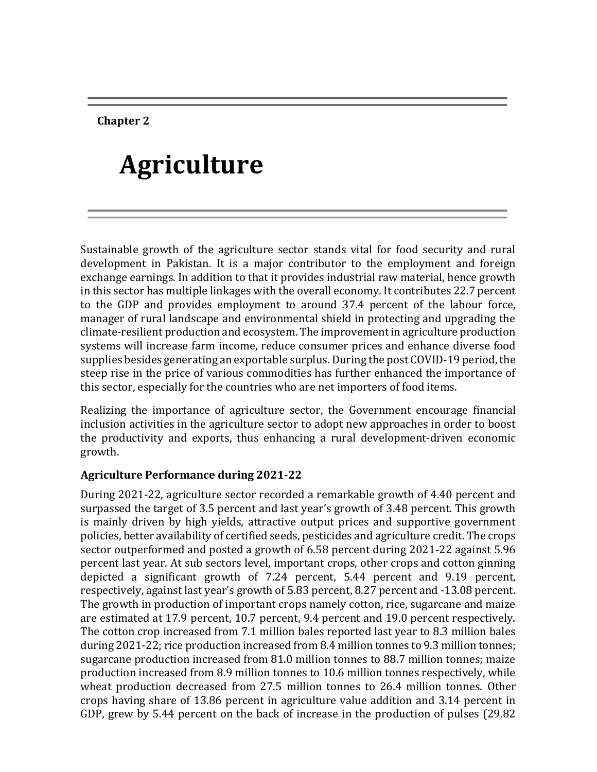**Chapter 2**

# **Agriculture**

Sustainable growth of the agriculture sector stands vital for food security and rural development in Pakistan. It is a major contributor to the employment and foreign exchange earnings. In addition to that it provides industrial raw material, hence growth in this sector has multiple linkages with the overall economy. It contributes 22.7 percent to the GDP and provides employment to around 37.4 percent of the labour force, manager of rural landscape and environmental shield in protecting and upgrading the climate-resilient production and ecosystem. The improvement in agriculture production systems will increase farm income, reduce consumer prices and enhance diverse food supplies besides generating an exportable surplus. During the post COVID-19 period, the steep rise in the price of various commodities has further enhanced the importance of this sector, especially for the countries who are net importers of food items.

Realizing the importance of agriculture sector, the Government encourage financial inclusion activities in the agriculture sector to adopt new approaches in order to boost the productivity and exports, thus enhancing a rural development-driven economic growth.

#### **Agriculture Performance during 2021-22**

During 2021-22, agriculture sector recorded a remarkable growth of 4.40 percent and surpassed the target of 3.5 percent and last year's growth of 3.48 percent. This growth is mainly driven by high yields, attractive output prices and supportive government policies, better availability of certified seeds, pesticides and agriculture credit. The crops sector outperformed and posted a growth of 6.58 percent during 2021-22 against 5.96 percent last year. At sub sectors level, important crops, other crops and cotton ginning depicted a significant growth of 7.24 percent, 5.44 percent and 9.19 percent, respectively, against last year's growth of 5.83 percent, 8.27 percent and -13.08 percent. The growth in production of important crops namely cotton, rice, sugarcane and maize are estimated at 17.9 percent, 10.7 percent, 9.4 percent and 19.0 percent respectively. The cotton crop increased from 7.1 million bales reported last year to 8.3 million bales during 2021-22; rice production increased from 8.4 million tonnes to 9.3 million tonnes; sugarcane production increased from 81.0 million tonnes to 88.7 million tonnes; maize production increased from 8.9 million tonnes to 10.6 million tonnes respectively, while wheat production decreased from 27.5 million tonnes to 26.4 million tonnes. Other crops having share of 13.86 percent in agriculture value addition and 3.14 percent in GDP, grew by 5.44 percent on the back of increase in the production of pulses (29.82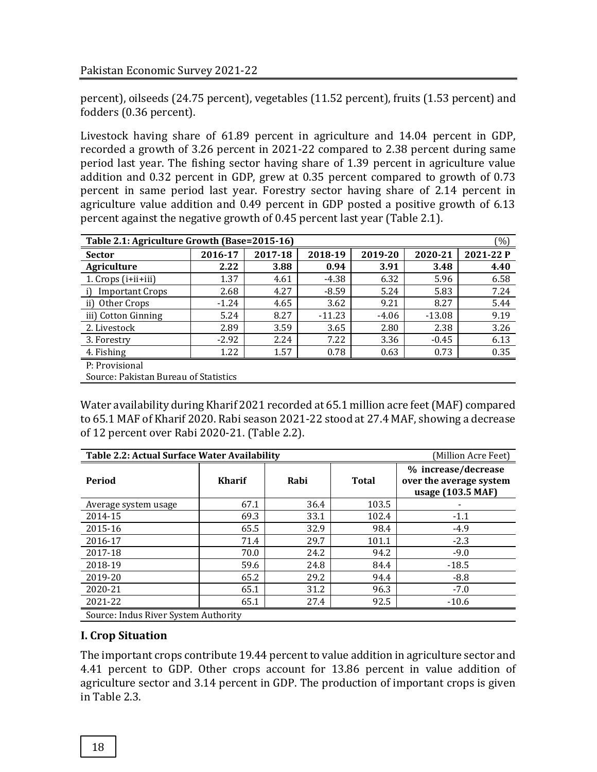percent), oilseeds (24.75 percent), vegetables (11.52 percent), fruits (1.53 percent) and fodders (0.36 percent).

Livestock having share of 61.89 percent in agriculture and 14.04 percent in GDP, recorded a growth of 3.26 percent in 2021-22 compared to 2.38 percent during same period last year. The fishing sector having share of 1.39 percent in agriculture value addition and 0.32 percent in GDP, grew at 0.35 percent compared to growth of 0.73 percent in same period last year. Forestry sector having share of 2.14 percent in agriculture value addition and 0.49 percent in GDP posted a positive growth of 6.13 percent against the negative growth of 0.45 percent last year (Table 2.1).

|                                       | (%)<br>Table 2.1: Agriculture Growth (Base=2015-16) |         |          |         |          |           |  |  |  |  |
|---------------------------------------|-----------------------------------------------------|---------|----------|---------|----------|-----------|--|--|--|--|
| <b>Sector</b>                         | 2016-17                                             | 2017-18 | 2018-19  | 2019-20 | 2020-21  | 2021-22 P |  |  |  |  |
| Agriculture                           | 2.22                                                | 3.88    | 0.94     | 3.91    | 3.48     | 4.40      |  |  |  |  |
| 1. $Crops(i+iii+iii)$                 | 1.37                                                | 4.61    | $-4.38$  | 6.32    | 5.96     | 6.58      |  |  |  |  |
| <b>Important Crops</b>                | 2.68                                                | 4.27    | $-8.59$  | 5.24    | 5.83     | 7.24      |  |  |  |  |
| ii) Other Crops                       | $-1.24$                                             | 4.65    | 3.62     | 9.21    | 8.27     | 5.44      |  |  |  |  |
| iii) Cotton Ginning                   | 5.24                                                | 8.27    | $-11.23$ | $-4.06$ | $-13.08$ | 9.19      |  |  |  |  |
| 2. Livestock                          | 2.89                                                | 3.59    | 3.65     | 2.80    | 2.38     | 3.26      |  |  |  |  |
| 3. Forestry                           | $-2.92$                                             | 2.24    | 7.22     | 3.36    | $-0.45$  | 6.13      |  |  |  |  |
| 4. Fishing                            | 1.22                                                | 1.57    | 0.78     | 0.63    | 0.73     | 0.35      |  |  |  |  |
| P: Provisional                        |                                                     |         |          |         |          |           |  |  |  |  |
| Source: Pakistan Bureau of Statistics |                                                     |         |          |         |          |           |  |  |  |  |

Water availability during Kharif 2021 recorded at 65.1 million acre feet (MAF) compared to 65.1 MAF of Kharif 2020. Rabi season 2021-22 stood at 27.4 MAF, showing a decrease of 12 percent over Rabi 2020-21. (Table 2.2).

|                                      | Table 2.2: Actual Surface Water Availability |      |              |                                                                     |  |  |  |
|--------------------------------------|----------------------------------------------|------|--------------|---------------------------------------------------------------------|--|--|--|
| Period                               | <b>Kharif</b>                                | Rabi | <b>Total</b> | % increase/decrease<br>over the average system<br>usage (103.5 MAF) |  |  |  |
| Average system usage                 | 67.1                                         | 36.4 | 103.5        |                                                                     |  |  |  |
| 2014-15                              | 69.3                                         | 33.1 | 102.4        | $-1.1$                                                              |  |  |  |
| 2015-16                              | 65.5                                         | 32.9 | 98.4         | $-4.9$                                                              |  |  |  |
| 2016-17                              | 71.4                                         | 29.7 | 101.1        | $-2.3$                                                              |  |  |  |
| 2017-18                              | 70.0                                         | 24.2 | 94.2         | $-9.0$                                                              |  |  |  |
| 2018-19                              | 59.6                                         | 24.8 | 84.4         | $-18.5$                                                             |  |  |  |
| 2019-20                              | 65.2                                         | 29.2 | 94.4         | $-8.8$                                                              |  |  |  |
| 2020-21                              | 65.1                                         | 31.2 | 96.3         | $-7.0$                                                              |  |  |  |
| 2021-22                              | 65.1                                         | 27.4 | 92.5         | $-10.6$                                                             |  |  |  |
| Source: Indus River System Authority |                                              |      |              |                                                                     |  |  |  |

# **I. Crop Situation**

The important crops contribute 19.44 percent to value addition in agriculture sector and 4.41 percent to GDP. Other crops account for 13.86 percent in value addition of agriculture sector and 3.14 percent in GDP. The production of important crops is given in Table 2.3.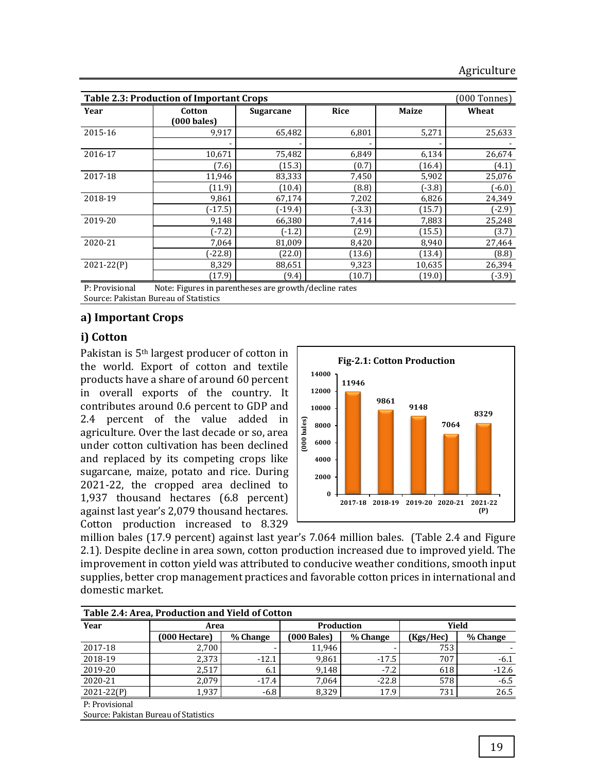|                | <b>Table 2.3: Production of Important Crops</b><br>(000 Tonnes) |                  |             |              |          |  |  |  |  |
|----------------|-----------------------------------------------------------------|------------------|-------------|--------------|----------|--|--|--|--|
| Year           | Cotton                                                          | <b>Sugarcane</b> | <b>Rice</b> | <b>Maize</b> | Wheat    |  |  |  |  |
|                | (000 bales)                                                     |                  |             |              |          |  |  |  |  |
| 2015-16        | 9,917                                                           | 65,482           | 6,801       | 5,271        | 25,633   |  |  |  |  |
|                |                                                                 |                  |             |              |          |  |  |  |  |
| 2016-17        | 10,671                                                          | 75,482           | 6,849       | 6,134        | 26,674   |  |  |  |  |
|                | (7.6)                                                           | (15.3)           | (0.7)       | (16.4)       | (4.1)    |  |  |  |  |
| 2017-18        | 11,946                                                          | 83,333           | 7,450       | 5,902        | 25,076   |  |  |  |  |
|                | (11.9)                                                          | (10.4)           | (8.8)       | (-3.8)       | $(-6.0)$ |  |  |  |  |
| 2018-19        | 9,861                                                           | 67,174           | 7,202       | 6,826        | 24,349   |  |  |  |  |
|                | $(-17.5)$                                                       | $(-19.4)$        | $(-3.3)$    | (15.7)       | $(-2.9)$ |  |  |  |  |
| 2019-20        | 9,148                                                           | 66,380           | 7,414       | 7,883        | 25,248   |  |  |  |  |
|                | $(-7.2)$                                                        | $(-1.2)$         | (2.9)       | (15.5)       | (3.7)    |  |  |  |  |
| 2020-21        | 7,064                                                           | 81,009           | 8,420       | 8,940        | 27,464   |  |  |  |  |
|                | $(-22.8)$                                                       | (22.0)           | (13.6)      | (13.4)       | (8.8)    |  |  |  |  |
| $2021 - 22(P)$ | 8,329                                                           | 88,651           | 9,323       | 10,635       | 26,394   |  |  |  |  |
|                | (17.9)                                                          | (9.4)            | (10.7)      | (19.0)       | $(-3.9)$ |  |  |  |  |

P: Provisional Note: Figures in parentheses are growth/decline rates

## Source: Pakistan Bureau of Statistics

#### **a) Important Crops**

#### **i) Cotton**

Pakistan is 5th largest producer of cotton in the world. Export of cotton and textile products have a share of around 60 percent in overall exports of the country. It contributes around 0.6 percent to GDP and 2.4 percent of the value added in agriculture. Over the last decade or so, area under cotton cultivation has been declined and replaced by its competing crops like sugarcane, maize, potato and rice. During 2021-22, the cropped area declined to 1,937 thousand hectares (6.8 percent) against last year's 2,079 thousand hectares. Cotton production increased to 8.329



million bales (17.9 percent) against last year's 7.064 million bales. (Table 2.4 and Figure 2.1). Despite decline in area sown, cotton production increased due to improved yield. The improvement in cotton yield was attributed to conducive weather conditions, smooth input supplies, better crop management practices and favorable cotton prices in international and domestic market.

| Table 2.4: Area, Production and Yield of Cotton |               |          |               |          |           |          |  |  |
|-------------------------------------------------|---------------|----------|---------------|----------|-----------|----------|--|--|
| Year                                            | Area          |          | Production    |          | Yield     |          |  |  |
|                                                 | (000 Hectare) | % Change | $(000$ Bales) | % Change | (Kgs/Hec) | % Change |  |  |
| 2017-18                                         | 2,700         |          | 11,946        |          | 753       |          |  |  |
| 2018-19                                         | 2,373         | $-12.1$  | 9,861         | $-17.5$  | 707       | $-6.1$   |  |  |
| 2019-20                                         | 2.517         | 6.1      | 9.148         | $-7.2$   | 618       | $-12.6$  |  |  |
| 2020-21                                         | 2.079         | $-17.4$  | 7.064         | $-22.8$  | 578       | $-6.5$   |  |  |
| $2021 - 22(P)$                                  | 1,937         | $-6.8$   | 8.329         | 17.9     | 731       | 26.5     |  |  |
| P: Provisional                                  |               |          |               |          |           |          |  |  |

Source: Pakistan Bureau of Statistics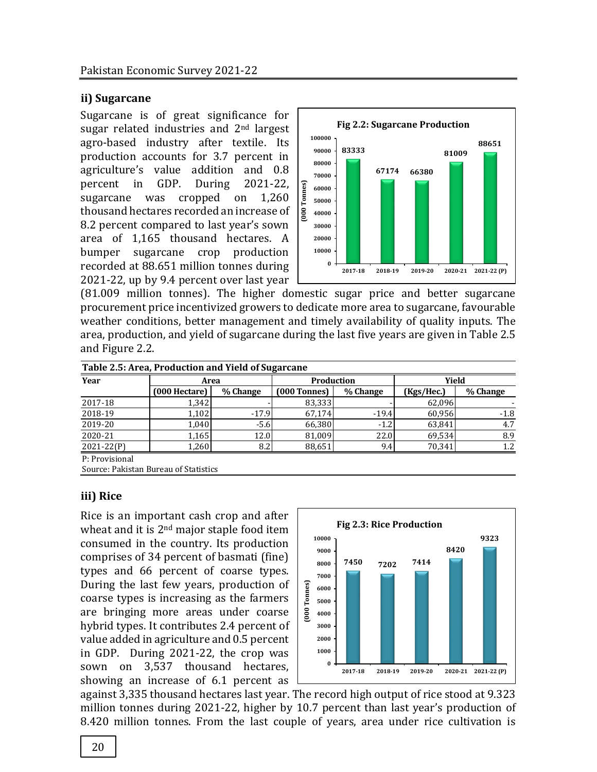## **ii) Sugarcane**

Sugarcane is of great significance for sugar related industries and 2nd largest agro-based industry after textile. Its production accounts for 3.7 percent in agriculture's value addition and 0.8 percent in GDP. During 2021-22, sugarcane was cropped on 1,260 thousand hectares recorded an increase of 8.2 percent compared to last year's sown area of 1,165 thousand hectares. A bumper sugarcane crop production recorded at 88.651 million tonnes during 2021-22, up by 9.4 percent over last year



(81.009 million tonnes). The higher domestic sugar price and better sugarcane procurement price incentivized growers to dedicate more area to sugarcane, favourable weather conditions, better management and timely availability of quality inputs. The area, production, and yield of sugarcane during the last five years are given in Table 2.5 and Figure 2.2.

| Table 2.5: Area, Production and Yield of Sugarcane |                                       |          |                |          |            |          |  |  |
|----------------------------------------------------|---------------------------------------|----------|----------------|----------|------------|----------|--|--|
| Year                                               | Area                                  |          | Production     |          | Yield      |          |  |  |
|                                                    | (000 Hectare)                         | % Change | $(000$ Tonnes) | % Change | (Kgs/Hec.) | % Change |  |  |
| 2017-18                                            | 1,342                                 |          | 83,333         |          | 62,096     |          |  |  |
| 2018-19                                            | 1,102                                 | $-17.9$  | 67.174         | $-19.4$  | 60,956     | $-1.8$   |  |  |
| 2019-20                                            | 1,040                                 | $-5.6$   | 66,380         | $-1.2$   | 63,841     | 4.7      |  |  |
| 2020-21                                            | 1,165                                 | 12.0     | 81,009         | 22.0     | 69,534     | 8.9      |  |  |
| $2021 - 22(P)$                                     | 1,260                                 | 8.2      | 88,651         | 9.4      | 70,341     | 1.2      |  |  |
| P: Provisional                                     |                                       |          |                |          |            |          |  |  |
|                                                    | Course, Dalveton Dursey of Chatistics |          |                |          |            |          |  |  |

Source: Pakistan Bureau of Statistics

#### **iii) Rice**

Rice is an important cash crop and after wheat and it is 2<sup>nd</sup> major staple food item consumed in the country. Its production comprises of 34 percent of basmati (fine) types and 66 percent of coarse types. During the last few years, production of coarse types is increasing as the farmers are bringing more areas under coarse hybrid types. It contributes 2.4 percent of value added in agriculture and 0.5 percent in GDP. During 2021-22, the crop was sown on 3,537 thousand hectares, showing an increase of 6.1 percent as



against 3,335 thousand hectares last year. The record high output of rice stood at 9.323 million tonnes during 2021-22, higher by 10.7 percent than last year's production of 8.420 million tonnes. From the last couple of years, area under rice cultivation is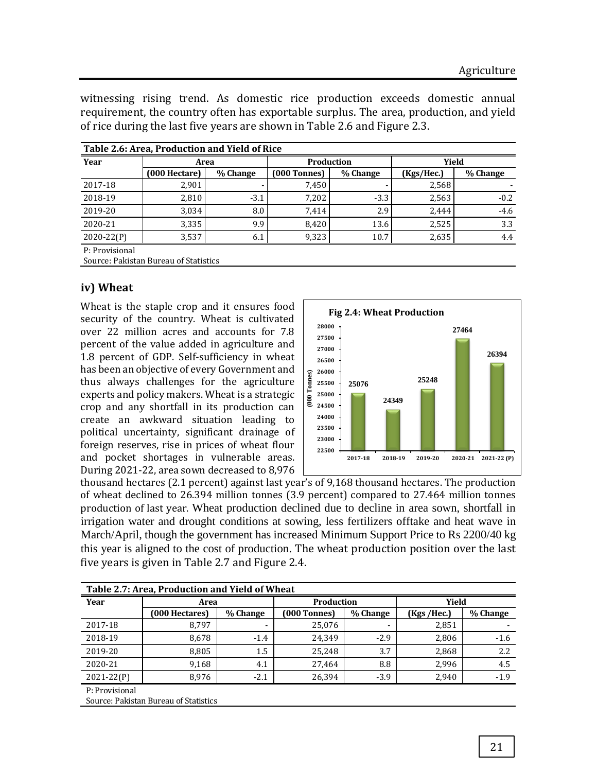witnessing rising trend. As domestic rice production exceeds domestic annual requirement, the country often has exportable surplus. The area, production, and yield of rice during the last five years are shown in Table 2.6 and Figure 2.3.

| Table 2.6: Area, Production and Yield of Rice |               |          |                   |          |            |          |  |  |  |
|-----------------------------------------------|---------------|----------|-------------------|----------|------------|----------|--|--|--|
| Year                                          | Area          |          | <b>Production</b> |          | Yield      |          |  |  |  |
|                                               | (000 Hectare) | % Change | [000 Tonnes]      | % Change | (Kgs/Hec.) | % Change |  |  |  |
| 2017-18                                       | 2,901         |          | 7,450             |          | 2,568      |          |  |  |  |
| 2018-19                                       | 2.810         | $-3.1$   | 7.202             | $-3.3$   | 2,563      | $-0.2$   |  |  |  |
| 2019-20                                       | 3.034         | 8.0      | 7.414             | 2.9      | 2.444      | $-4.6$   |  |  |  |
| 2020-21                                       | 3.335         | 9.9      | 8.420             | 13.6     | 2,525      | 3.3      |  |  |  |
| $2020 - 22(P)$                                | 3,537         | 6.1      | 9,323             | 10.7     | 2,635      | 4.4      |  |  |  |
| P: Provisional                                |               |          |                   |          |            |          |  |  |  |

Source: Pakistan Bureau of Statistics

#### **iv) Wheat**

Wheat is the staple crop and it ensures food security of the country. Wheat is cultivated over 22 million acres and accounts for 7.8 percent of the value added in agriculture and 1.8 percent of GDP. Self-sufficiency in wheat has been an objective of every Government and thus always challenges for the agriculture experts and policy makers. Wheat is a strategic crop and any shortfall in its production can create an awkward situation leading to political uncertainty, significant drainage of foreign reserves, rise in prices of wheat flour and pocket shortages in vulnerable areas. During 2021-22, area sown decreased to 8,976



thousand hectares (2.1 percent) against last year's of 9,168 thousand hectares. The production of wheat declined to 26.394 million tonnes (3.9 percent) compared to 27.464 million tonnes production of last year. Wheat production declined due to decline in area sown, shortfall in irrigation water and drought conditions at sowing, less fertilizers offtake and heat wave in March/April, though the government has increased Minimum Support Price to Rs 2200/40 kg this year is aligned to the cost of production. The wheat production position over the last five years is given in Table 2.7 and Figure 2.4.

|                | Table 2.7: Area, Production and Yield of Wheat |          |              |          |             |          |  |  |  |
|----------------|------------------------------------------------|----------|--------------|----------|-------------|----------|--|--|--|
| Year           | Area                                           |          | Production   |          | Yield       |          |  |  |  |
|                | (000 Hectares)                                 | % Change | (000 Tonnes) | % Change | (Kgs /Hec.) | % Change |  |  |  |
| 2017-18        | 8.797                                          | -        | 25,076       |          | 2,851       |          |  |  |  |
| 2018-19        | 8,678                                          | $-1.4$   | 24,349       | $-2.9$   | 2,806       | $-1.6$   |  |  |  |
| 2019-20        | 8,805                                          | 1.5      | 25,248       | 3.7      | 2,868       | 2.2      |  |  |  |
| 2020-21        | 9,168                                          | 4.1      | 27,464       | 8.8      | 2,996       | 4.5      |  |  |  |
| 2021-22(P)     | 8.976                                          | $-2.1$   | 26,394       | $-3.9$   | 2.940       | $-1.9$   |  |  |  |
| P: Provisional |                                                |          |              |          |             |          |  |  |  |
|                | Source: Pakistan Bureau of Statistics          |          |              |          |             |          |  |  |  |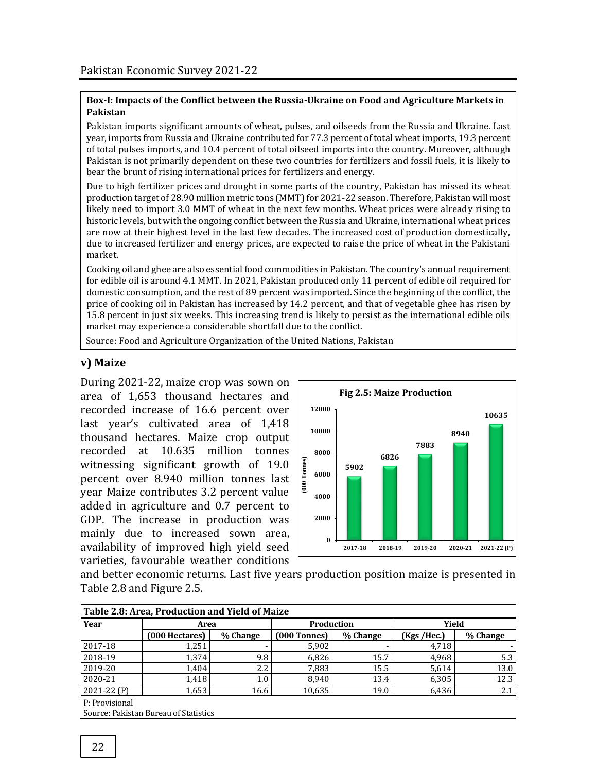#### **Box-I: Impacts of the Conflict between the Russia-Ukraine on Food and Agriculture Markets in Pakistan**

Pakistan imports significant amounts of wheat, pulses, and oilseeds from the Russia and Ukraine. Last year, imports from Russia and Ukraine contributed for 77.3 percent of total wheat imports, 19.3 percent of total pulses imports, and 10.4 percent of total oilseed imports into the country. Moreover, although Pakistan is not primarily dependent on these two countries for fertilizers and fossil fuels, it is likely to bear the brunt of rising international prices for fertilizers and energy.

Due to high fertilizer prices and drought in some parts of the country, Pakistan has missed its wheat production target of 28.90 million metric tons (MMT) for 2021-22 season. Therefore, Pakistan will most likely need to import 3.0 MMT of wheat in the next few months. Wheat prices were already rising to historic levels, but with the ongoing conflict between the Russia and Ukraine, international wheat prices are now at their highest level in the last few decades. The increased cost of production domestically, due to increased fertilizer and energy prices, are expected to raise the price of wheat in the Pakistani market.

Cooking oil and ghee are also essential food commodities in Pakistan. The country's annual requirement for edible oil is around 4.1 MMT. In 2021, Pakistan produced only 11 percent of edible oil required for domestic consumption, and the rest of 89 percent was imported. Since the beginning of the conflict, the price of cooking oil in Pakistan has increased by 14.2 percent, and that of vegetable ghee has risen by 15.8 percent in just six weeks. This increasing trend is likely to persist as the international edible oils market may experience a considerable shortfall due to the conflict.

Source: Food and Agriculture Organization of the United Nations, Pakistan

## **v) Maize**

During 2021-22, maize crop was sown on area of 1,653 thousand hectares and recorded increase of 16.6 percent over last year's cultivated area of 1,418 thousand hectares. Maize crop output recorded at 10.635 million tonnes witnessing significant growth of 19.0 percent over 8.940 million tonnes last year Maize contributes 3.2 percent value added in agriculture and 0.7 percent to GDP. The increase in production was mainly due to increased sown area, availability of improved high yield seed varieties, favourable weather conditions



and better economic returns. Last five years production position maize is presented in Table 2.8 and Figure 2.5.

| Table 2.8: Area, Production and Yield of Maize |                |          |                |          |             |          |  |  |
|------------------------------------------------|----------------|----------|----------------|----------|-------------|----------|--|--|
| Year                                           | Area           |          | Production     |          | Yield       |          |  |  |
|                                                | (000 Hectares) | % Change | $(000$ Tonnes) | % Change | (Kgs /Hec.) | % Change |  |  |
| 2017-18                                        | 1,251          |          | 5.902          |          | 4,718       |          |  |  |
| 2018-19                                        | 1.374          | 9.8      | 6.826          | 15.7     | 4.968       | 5.3      |  |  |
| 2019-20                                        | 1,404          | 2.2      | 7,883          | 15.5     | 5,614       | 13.0     |  |  |
| 2020-21                                        | 1,418          | 1.0      | 8.940          | 13.4     | 6,305       | 12.3     |  |  |
| $2021 - 22(P)$                                 | 1,653          | 16.6     | 10,635         | 19.0     | 6,436       | 2.1      |  |  |
| D. Drovicional                                 |                |          |                |          |             |          |  |  |

P: Provisional

Source: Pakistan Bureau of Statistics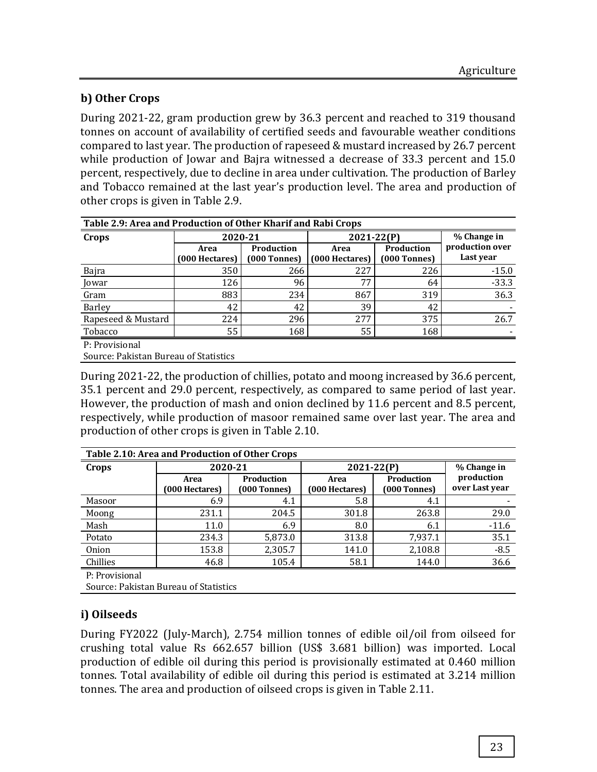# **b) Other Crops**

During 2021-22, gram production grew by 36.3 percent and reached to 319 thousand tonnes on account of availability of certified seeds and favourable weather conditions compared to last year. The production of rapeseed & mustard increased by 26.7 percent while production of Jowar and Bajra witnessed a decrease of 33.3 percent and 15.0 percent, respectively, due to decline in area under cultivation. The production of Barley and Tobacco remained at the last year's production level. The area and production of other crops is given in Table 2.9.

| Table 2.9: Area and Production of Other Kharif and Rabi Crops |                                           |                            |                        |                              |                              |  |  |  |
|---------------------------------------------------------------|-------------------------------------------|----------------------------|------------------------|------------------------------|------------------------------|--|--|--|
| Crops                                                         | 2020-21                                   |                            | 2021-22 <sub>(P)</sub> | % Change in                  |                              |  |  |  |
|                                                               | Area<br>(000 Hectares)                    | Production<br>(000 Tonnes) | Area<br>(000 Hectares) | Production<br>$(000$ Tonnes) | production over<br>Last year |  |  |  |
| Bajra                                                         | 350                                       | 266                        | 227                    | 226                          | $-15.0$                      |  |  |  |
| Jowar                                                         | 126                                       | 96                         | 77                     | 64                           | $-33.3$                      |  |  |  |
| Gram                                                          | 883                                       | 234                        | 867                    | 319                          | 36.3                         |  |  |  |
| Barley                                                        | 42                                        | 42                         | 39                     | 42                           |                              |  |  |  |
| Rapeseed & Mustard                                            | 224                                       | 296                        | 277                    | 375                          | 26.7                         |  |  |  |
| Tobacco                                                       | 55                                        | 168                        | 55                     | 168                          |                              |  |  |  |
| P: Provisional<br>$\alpha$ nimely                             | $\sim$ $\sim$ $\sim$ $\sim$ $\sim$ $\sim$ |                            |                        |                              |                              |  |  |  |

Source: Pakistan Bureau of Statistics

During 2021-22, the production of chillies, potato and moong increased by 36.6 percent, 35.1 percent and 29.0 percent, respectively, as compared to same period of last year. However, the production of mash and onion declined by 11.6 percent and 8.5 percent, respectively, while production of masoor remained same over last year. The area and production of other crops is given in Table 2.10.

| Table 2.10: Area and Production of Other Crops |                        |                            |                        |                                       |                              |  |  |  |  |  |  |
|------------------------------------------------|------------------------|----------------------------|------------------------|---------------------------------------|------------------------------|--|--|--|--|--|--|
| Crops                                          | 2020-21                |                            | $2021 - 22(P)$         | % Change in                           |                              |  |  |  |  |  |  |
|                                                | Area<br>(000 Hectares) | Production<br>(000 Tonnes) | Area<br>(000 Hectares) | Production<br>(000 Tonnes)            | production<br>over Last year |  |  |  |  |  |  |
| Masoor                                         | 6.9                    | 4.1                        | 5.8                    | 4.1                                   |                              |  |  |  |  |  |  |
| Moong                                          | 231.1                  | 204.5                      | 301.8                  | 263.8                                 | 29.0                         |  |  |  |  |  |  |
| Mash                                           | 11.0                   | 6.9                        | 8.0                    | 6.1                                   | $-11.6$                      |  |  |  |  |  |  |
| Potato                                         | 234.3                  | 5,873.0                    | 313.8                  | 7,937.1                               | 35.1                         |  |  |  |  |  |  |
| Onion                                          | 153.8                  | 2,305.7                    | 141.0                  | 2,108.8                               | $-8.5$                       |  |  |  |  |  |  |
| Chillies                                       | 46.8                   | 105.4                      | 58.1                   | 144.0                                 | 36.6                         |  |  |  |  |  |  |
| P: Provisional                                 |                        |                            |                        |                                       |                              |  |  |  |  |  |  |
|                                                |                        |                            |                        | Source: Pakistan Bureau of Statistics |                              |  |  |  |  |  |  |

# **i) Oilseeds**

During FY2022 (July-March), 2.754 million tonnes of edible oil/oil from oilseed for crushing total value Rs 662.657 billion (US\$ 3.681 billion) was imported. Local production of edible oil during this period is provisionally estimated at 0.460 million tonnes. Total availability of edible oil during this period is estimated at 3.214 million tonnes. The area and production of oilseed crops is given in Table 2.11.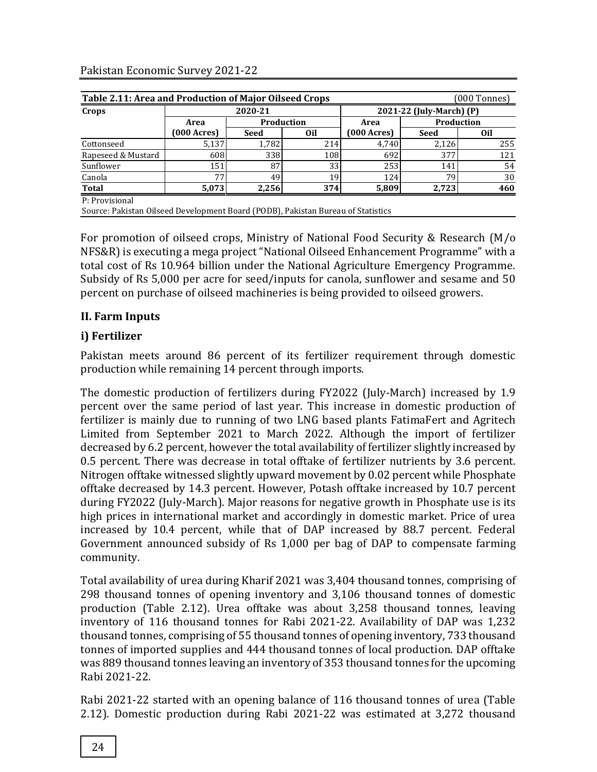| Crops              |                        | 2020-21    |     | 2021-22 (July-March) (P)                              |            |     |
|--------------------|------------------------|------------|-----|-------------------------------------------------------|------------|-----|
|                    | Area                   | Production |     | Area                                                  | Production |     |
|                    | $(000 \text{ Across})$ | Seed       | 0il | $(000 \text{ A} \text{c} \text{r} \text{e} \text{s})$ | Seed       | 0il |
| Cottonseed         | 5,137                  | 1,782      | 214 | 4.740                                                 | 2,126      | 255 |
| Rapeseed & Mustard | 608                    | 338        | 108 | 692                                                   | 377        | 121 |
| Sunflower          | 151                    | 87         | 33  | 253                                                   | 141        | 54  |
| Canola             | 77                     | 49         | 19  | 124                                                   | 79         | 30  |
| Total              | 5,073                  | 2,256      | 374 | 5,809                                                 | 2,723      | 460 |

Source: Pakistan Oilseed Development Board (PODB), Pakistan Bureau of Statistics

For promotion of oilseed crops, Ministry of National Food Security & Research (M/o NFS&R) is executing a mega project "National Oilseed Enhancement Programme" with a total cost of Rs 10.964 billion under the National Agriculture Emergency Programme. Subsidy of Rs 5,000 per acre for seed/inputs for canola, sunflower and sesame and 50 percent on purchase of oilseed machineries is being provided to oilseed growers.

#### **II. Farm Inputs**

# **i) Fertilizer**

Pakistan meets around 86 percent of its fertilizer requirement through domestic production while remaining 14 percent through imports.

The domestic production of fertilizers during FY2022 (July-March) increased by 1.9 percent over the same period of last year. This increase in domestic production of fertilizer is mainly due to running of two LNG based plants FatimaFert and Agritech Limited from September 2021 to March 2022. Although the import of fertilizer decreased by 6.2 percent, however the total availability of fertilizer slightly increased by 0.5 percent. There was decrease in total offtake of fertilizer nutrients by 3.6 percent. Nitrogen offtake witnessed slightly upward movement by 0.02 percent while Phosphate offtake decreased by 14.3 percent. However, Potash offtake increased by 10.7 percent during FY2022 (July-March). Major reasons for negative growth in Phosphate use is its high prices in international market and accordingly in domestic market. Price of urea increased by 10.4 percent, while that of DAP increased by 88.7 percent. Federal Government announced subsidy of Rs 1,000 per bag of DAP to compensate farming community.

Total availability of urea during Kharif 2021 was 3,404 thousand tonnes, comprising of 298 thousand tonnes of opening inventory and 3,106 thousand tonnes of domestic production (Table 2.12). Urea offtake was about 3,258 thousand tonnes, leaving inventory of 116 thousand tonnes for Rabi 2021-22. Availability of DAP was 1,232 thousand tonnes, comprising of 55 thousand tonnes of opening inventory, 733 thousand tonnes of imported supplies and 444 thousand tonnes of local production. DAP offtake was 889 thousand tonnes leaving an inventory of 353 thousand tonnes for the upcoming Rabi 2021-22.

Rabi 2021-22 started with an opening balance of 116 thousand tonnes of urea (Table 2.12). Domestic production during Rabi 2021-22 was estimated at 3,272 thousand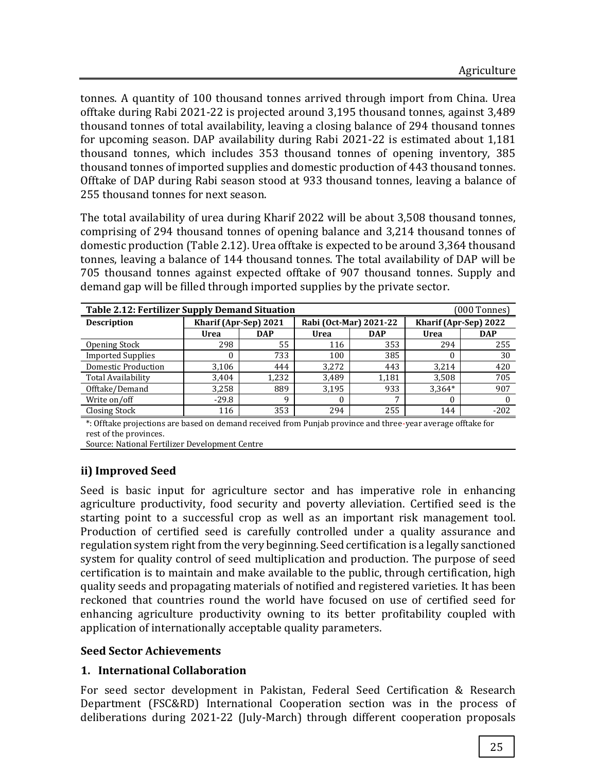tonnes. A quantity of 100 thousand tonnes arrived through import from China. Urea offtake during Rabi 2021-22 is projected around 3,195 thousand tonnes, against 3,489 thousand tonnes of total availability, leaving a closing balance of 294 thousand tonnes for upcoming season. DAP availability during Rabi 2021-22 is estimated about 1,181 thousand tonnes, which includes 353 thousand tonnes of opening inventory, 385 thousand tonnes of imported supplies and domestic production of 443 thousand tonnes. Offtake of DAP during Rabi season stood at 933 thousand tonnes, leaving a balance of 255 thousand tonnes for next season.

The total availability of urea during Kharif 2022 will be about 3,508 thousand tonnes, comprising of 294 thousand tonnes of opening balance and 3,214 thousand tonnes of domestic production (Table 2.12). Urea offtake is expected to be around 3,364 thousand tonnes, leaving a balance of 144 thousand tonnes. The total availability of DAP will be 705 thousand tonnes against expected offtake of 907 thousand tonnes. Supply and demand gap will be filled through imported supplies by the private sector.

| <b>Table 2.12: Fertilizer Supply Demand Situation</b><br>(000 Tonnes) |            |       |            |                        |            |  |  |  |
|-----------------------------------------------------------------------|------------|-------|------------|------------------------|------------|--|--|--|
| Kharif (Apr-Sep) 2021                                                 |            |       |            | Kharif (Apr-Sep) 2022  |            |  |  |  |
| Urea                                                                  | <b>DAP</b> | Urea  | <b>DAP</b> | Urea                   | <b>DAP</b> |  |  |  |
| 298                                                                   | 55         | 116   | 353        | 294                    | 255        |  |  |  |
|                                                                       | 733        | 100   | 385        | 0                      | 30         |  |  |  |
| 3,106                                                                 | 444        | 3,272 | 443        | 3,214                  | 420        |  |  |  |
| 3,404                                                                 | 1,232      | 3.489 | 1,181      | 3,508                  | 705        |  |  |  |
| 3,258                                                                 | 889        | 3,195 | 933        | $3,364*$               | 907        |  |  |  |
| $-29.8$                                                               | q          | 0     | 7          | $\Omega$               |            |  |  |  |
| 116                                                                   | 353        | 294   | 255        | 144                    | $-202$     |  |  |  |
|                                                                       |            |       |            | Rabi (Oct-Mar) 2021-22 |            |  |  |  |

\*: Offtake projections are based on demand received from Punjab province and three-year average offtake for rest of the provinces.

Source: National Fertilizer Development Centre

# **ii) Improved Seed**

Seed is basic input for agriculture sector and has imperative role in enhancing agriculture productivity, food security and poverty alleviation. Certified seed is the starting point to a successful crop as well as an important risk management tool. Production of certified seed is carefully controlled under a quality assurance and regulation system right from the very beginning. Seed certification is a legally sanctioned system for quality control of seed multiplication and production. The purpose of seed certification is to maintain and make available to the public, through certification, high quality seeds and propagating materials of notified and registered varieties. It has been reckoned that countries round the world have focused on use of certified seed for enhancing agriculture productivity owning to its better profitability coupled with application of internationally acceptable quality parameters.

#### **Seed Sector Achievements**

# **1. International Collaboration**

For seed sector development in Pakistan, Federal Seed Certification & Research Department (FSC&RD) International Cooperation section was in the process of deliberations during 2021-22 (July-March) through different cooperation proposals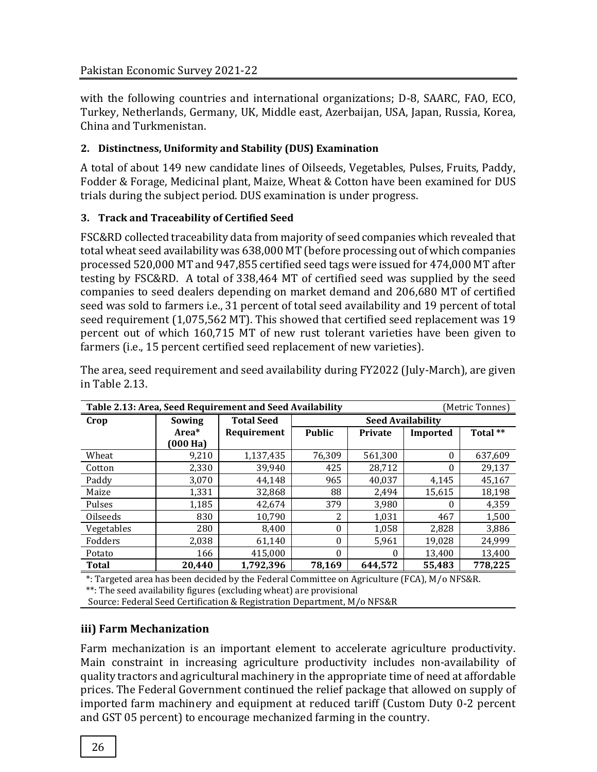with the following countries and international organizations; D-8, SAARC, FAO, ECO, Turkey, Netherlands, Germany, UK, Middle east, Azerbaijan, USA, Japan, Russia, Korea, China and Turkmenistan.

## **2. Distinctness, Uniformity and Stability (DUS) Examination**

A total of about 149 new candidate lines of Oilseeds, Vegetables, Pulses, Fruits, Paddy, Fodder & Forage, Medicinal plant, Maize, Wheat & Cotton have been examined for DUS trials during the subject period. DUS examination is under progress.

## **3. Track and Traceability of Certified Seed**

FSC&RD collected traceability data from majority of seed companies which revealed that total wheat seed availability was 638,000 MT (before processing out of which companies processed 520,000 MT and 947,855 certified seed tags were issued for 474,000 MT after testing by FSC&RD. A total of 338,464 MT of certified seed was supplied by the seed companies to seed dealers depending on market demand and 206,680 MT of certified seed was sold to farmers i.e., 31 percent of total seed availability and 19 percent of total seed requirement (1,075,562 MT). This showed that certified seed replacement was 19 percent out of which 160,715 MT of new rust tolerant varieties have been given to farmers (i.e., 15 percent certified seed replacement of new varieties).

|                 | Table 2.13: Area, Seed Requirement and Seed Availability<br>(Metric Tonnes) |                   |               |                          |          |          |  |  |
|-----------------|-----------------------------------------------------------------------------|-------------------|---------------|--------------------------|----------|----------|--|--|
| Crop            | Sowing                                                                      | <b>Total Seed</b> |               | <b>Seed Availability</b> |          |          |  |  |
|                 | Area*                                                                       | Requirement       | <b>Public</b> | <b>Private</b>           | Imported | Total ** |  |  |
|                 | (000 Ha)                                                                    |                   |               |                          |          |          |  |  |
| Wheat           | 9,210                                                                       | 1,137,435         | 76,309        | 561,300                  | $\theta$ | 637,609  |  |  |
| Cotton          | 2,330                                                                       | 39,940            | 425           | 28.712                   | 0        | 29,137   |  |  |
| Paddy           | 3,070                                                                       | 44,148            | 965           | 40,037                   | 4,145    | 45,167   |  |  |
| Maize           | 1,331                                                                       | 32,868            | 88            | 2,494                    | 15.615   | 18,198   |  |  |
| Pulses          | 1,185                                                                       | 42,674            | 379           | 3,980                    | 0        | 4,359    |  |  |
| <b>Oilseeds</b> | 830                                                                         | 10,790            | 2             | 1,031                    | 467      | 1,500    |  |  |
| Vegetables      | 280                                                                         | 8.400             | $\theta$      | 1,058                    | 2,828    | 3,886    |  |  |
| Fodders         | 2,038                                                                       | 61,140            | $\theta$      | 5,961                    | 19,028   | 24.999   |  |  |
| Potato          | 166                                                                         | 415,000           | $\theta$      | $\theta$                 | 13,400   | 13,400   |  |  |
| <b>Total</b>    | 20.440                                                                      | 1,792,396         | 78,169        | 644,572                  | 55,483   | 778,225  |  |  |

The area, seed requirement and seed availability during FY2022 (July-March), are given in Table 2.13.

\*: Targeted area has been decided by the Federal Committee on Agriculture (FCA), M/o NFS&R. \*\*: The seed availability figures (excluding wheat) are provisional

Source: Federal Seed Certification & Registration Department, M/o NFS&R

# **iii) Farm Mechanization**

Farm mechanization is an important element to accelerate agriculture productivity. Main constraint in increasing agriculture productivity includes non-availability of quality tractors and agricultural machinery in the appropriate time of need at affordable prices. The Federal Government continued the relief package that allowed on supply of imported farm machinery and equipment at reduced tariff (Custom Duty 0-2 percent and GST 05 percent) to encourage mechanized farming in the country.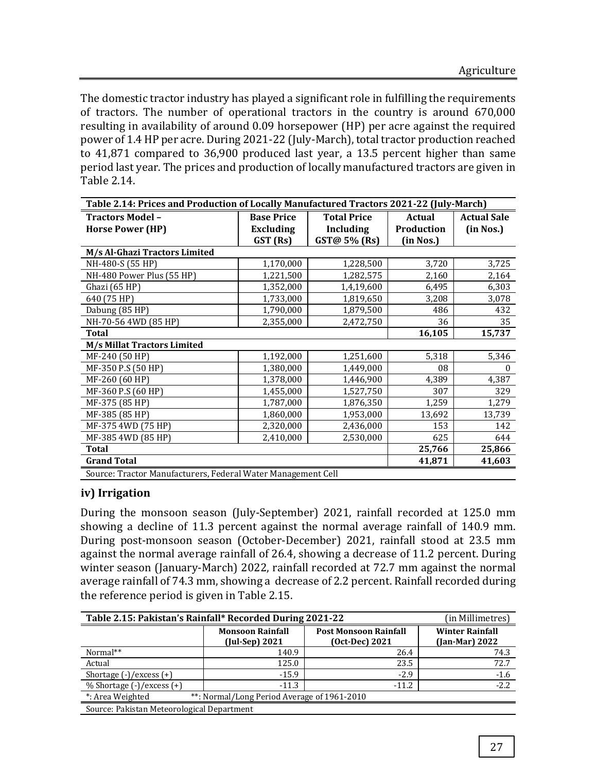The domestic tractor industry has played a significant role in fulfilling the requirements of tractors. The number of operational tractors in the country is around 670,000 resulting in availability of around 0.09 horsepower (HP) per acre against the required power of 1.4 HP per acre. During 2021-22 (July-March), total tractor production reached to 41,871 compared to 36,900 produced last year, a 13.5 percent higher than same period last year. The prices and production of locally manufactured tractors are given in Table 2.14.

| Table 2.14: Prices and Production of Locally Manufactured Tractors 2021-22 (July-March) |                                         |                  |            |           |  |  |  |
|-----------------------------------------------------------------------------------------|-----------------------------------------|------------------|------------|-----------|--|--|--|
| <b>Tractors Model -</b>                                                                 | <b>Base Price</b><br><b>Total Price</b> |                  |            |           |  |  |  |
| <b>Horse Power (HP)</b>                                                                 | <b>Excluding</b>                        | <b>Including</b> | Production | (in Nos.) |  |  |  |
|                                                                                         | GST (Rs)                                | GST@ 5% (Rs)     | (in Nos.)  |           |  |  |  |
| M/s Al-Ghazi Tractors Limited                                                           |                                         |                  |            |           |  |  |  |
| NH-480-S (55 HP)                                                                        | 1,170,000                               | 1,228,500        | 3,720      | 3,725     |  |  |  |
| NH-480 Power Plus (55 HP)                                                               | 1,221,500                               | 1,282,575        | 2,160      | 2,164     |  |  |  |
| Ghazi (65 HP)                                                                           | 1,352,000                               | 1,4,19,600       | 6,495      | 6,303     |  |  |  |
| 640 (75 HP)                                                                             | 1,733,000                               | 1,819,650        | 3,208      | 3,078     |  |  |  |
| Dabung (85 HP)                                                                          | 1,790,000                               | 1,879,500        | 486        | 432       |  |  |  |
| NH-70-56 4WD (85 HP)                                                                    | 2,355,000                               | 2,472,750        | 36         | 35        |  |  |  |
| Total                                                                                   |                                         |                  | 16,105     | 15,737    |  |  |  |
| M/s Millat Tractors Limited                                                             |                                         |                  |            |           |  |  |  |
| MF-240 (50 HP)                                                                          | 1,192,000                               | 1,251,600        | 5,318      | 5,346     |  |  |  |
| MF-350 P.S (50 HP)                                                                      | 1,380,000                               | 1,449,000        | 08         | $\theta$  |  |  |  |
| MF-260 (60 HP)                                                                          | 1,378,000                               | 1,446,900        | 4,389      | 4,387     |  |  |  |
| MF-360 P.S (60 HP)                                                                      | 1,455,000                               | 1,527,750        | 307        | 329       |  |  |  |
| MF-375 (85 HP)                                                                          | 1,787,000                               | 1,876,350        | 1,259      | 1,279     |  |  |  |
| MF-385 (85 HP)                                                                          | 1,860,000                               | 1,953,000        | 13,692     | 13,739    |  |  |  |
| MF-375 4WD (75 HP)                                                                      | 2,320,000                               | 2,436,000        | 153        | 142       |  |  |  |
| MF-385 4WD (85 HP)                                                                      | 2,410,000                               | 2,530,000        | 625        | 644       |  |  |  |
| Total                                                                                   |                                         |                  | 25,766     | 25,866    |  |  |  |
| <b>Grand Total</b><br>41,871<br>41,603                                                  |                                         |                  |            |           |  |  |  |
| Source: Tractor Manufacturers, Federal Water Management Cell                            |                                         |                  |            |           |  |  |  |

#### **iv) Irrigation**

During the monsoon season (July-September) 2021, rainfall recorded at 125.0 mm showing a decline of 11.3 percent against the normal average rainfall of 140.9 mm. During post-monsoon season (October-December) 2021, rainfall stood at 23.5 mm against the normal average rainfall of 26.4, showing a decrease of 11.2 percent. During winter season (January-March) 2022, rainfall recorded at 72.7 mm against the normal average rainfall of 74.3 mm, showing a decrease of 2.2 percent. Rainfall recorded during the reference period is given in Table 2.15.

| Table 2.15: Pakistan's Rainfall* Recorded During 2021-22                    | (in Millimetres)                                |                                                |                                            |  |  |  |
|-----------------------------------------------------------------------------|-------------------------------------------------|------------------------------------------------|--------------------------------------------|--|--|--|
|                                                                             | <b>Monsoon Rainfall</b><br>$($ Jul-Sep $)$ 2021 | <b>Post Monsoon Rainfall</b><br>(Oct-Dec) 2021 | <b>Winter Rainfall</b><br>$(Jan-Mar) 2022$ |  |  |  |
| Normal**                                                                    | 140.9                                           | 26.4                                           | 74.3                                       |  |  |  |
| Actual                                                                      | 125.0                                           | 23.5                                           | 72.7                                       |  |  |  |
| Shortage $(-)/$ excess $(+)$                                                | $-15.9$                                         | $-2.9$                                         | $-1.6$                                     |  |  |  |
| $\%$ Shortage (-)/excess (+)                                                | $-11.3$                                         | $-11.2$                                        | $-2.2$                                     |  |  |  |
| *: Area Weighted<br><sup>**</sup> : Normal/Long Period Average of 1961-2010 |                                                 |                                                |                                            |  |  |  |
| Source: Pakistan Meteorological Department                                  |                                                 |                                                |                                            |  |  |  |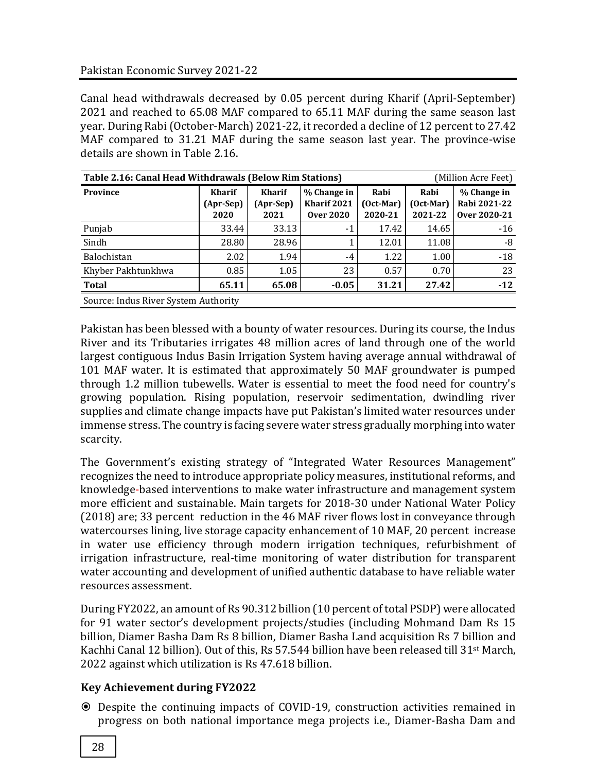Canal head withdrawals decreased by 0.05 percent during Kharif (April-September) 2021 and reached to 65.08 MAF compared to 65.11 MAF during the same season last year. During Rabi (October-March) 2021-22, it recorded a decline of 12 percent to 27.42 MAF compared to 31.21 MAF during the same season last year. The province-wise details are shown in Table 2.16.

| Table 2.16: Canal Head Withdrawals (Below Rim Stations)<br>(Million Acre Feet) |                                    |                                    |                                                |                                    |                                    |                                             |  |
|--------------------------------------------------------------------------------|------------------------------------|------------------------------------|------------------------------------------------|------------------------------------|------------------------------------|---------------------------------------------|--|
| Province                                                                       | <b>Kharif</b><br>(Apr-Sep)<br>2020 | <b>Kharif</b><br>(Apr-Sep)<br>2021 | % Change in<br>Kharif 2021<br><b>Over 2020</b> | Rabi<br>$(Oct$ -Mar $)$<br>2020-21 | Rabi<br>$(Oct$ -Mar $)$<br>2021-22 | % Change in<br>Rabi 2021-22<br>Over 2020-21 |  |
| Punjab                                                                         | 33.44                              | 33.13                              | $-1$                                           | 17.42                              | 14.65                              | $-16$                                       |  |
| Sindh                                                                          | 28.80                              | 28.96                              |                                                | 12.01                              | 11.08                              | -8                                          |  |
| Balochistan                                                                    | 2.02                               | 1.94                               | -4                                             | 1.22                               | 1.00                               | $-18$                                       |  |
| Khyber Pakhtunkhwa                                                             | 0.85                               | 1.05                               | 23                                             | 0.57                               | 0.70                               | 23                                          |  |
| <b>Total</b>                                                                   | 65.11                              | 65.08                              | $-0.05$                                        | 31.21                              | 27.42                              | $-12$                                       |  |
| Source: Indus River System Authority                                           |                                    |                                    |                                                |                                    |                                    |                                             |  |

Pakistan has been blessed with a bounty of water resources. During its course, the Indus River and its Tributaries irrigates 48 million acres of land through one of the world largest contiguous Indus Basin Irrigation System having average annual withdrawal of 101 MAF water. It is estimated that approximately 50 MAF groundwater is pumped through 1.2 million tubewells. Water is essential to meet the food need for country's growing population. Rising population, reservoir sedimentation, dwindling river supplies and climate change impacts have put Pakistan's limited water resources under immense stress. The country is facing severe water stress gradually morphing into water scarcity.

The Government's existing strategy of "Integrated Water Resources Management" recognizes the need to introduce appropriate policy measures, institutional reforms, and knowledge-based interventions to make water infrastructure and management system more efficient and sustainable. Main targets for 2018-30 under National Water Policy (2018) are; 33 percent reduction in the 46 MAF river flows lost in conveyance through watercourses lining, live storage capacity enhancement of 10 MAF, 20 percent increase in water use efficiency through modern irrigation techniques, refurbishment of irrigation infrastructure, real-time monitoring of water distribution for transparent water accounting and development of unified authentic database to have reliable water resources assessment.

During FY2022, an amount of Rs 90.312 billion (10 percent of total PSDP) were allocated for 91 water sector's development projects/studies (including Mohmand Dam Rs 15 billion, Diamer Basha Dam Rs 8 billion, Diamer Basha Land acquisition Rs 7 billion and Kachhi Canal 12 billion). Out of this, Rs 57.544 billion have been released till 31st March, 2022 against which utilization is Rs 47.618 billion.

#### **Key Achievement during FY2022**

 Despite the continuing impacts of COVID-19, construction activities remained in progress on both national importance mega projects i.e., Diamer-Basha Dam and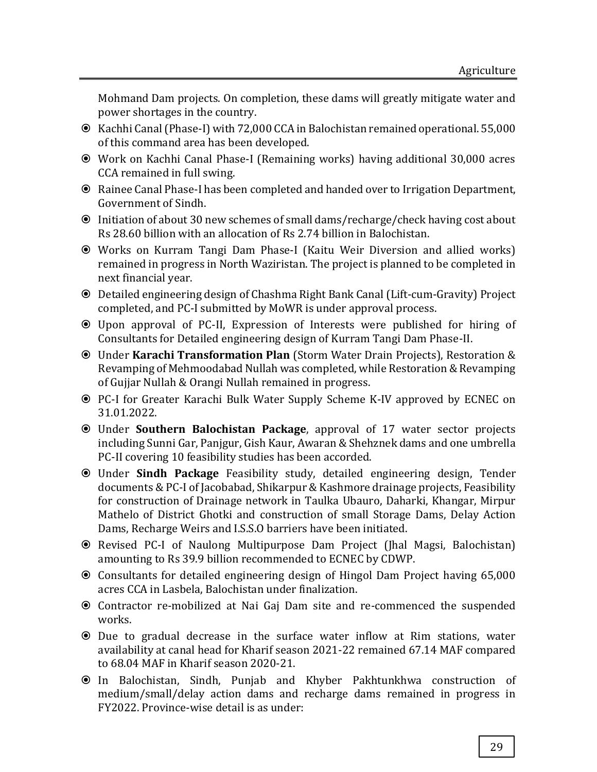Mohmand Dam projects. On completion, these dams will greatly mitigate water and power shortages in the country.

- Kachhi Canal (Phase-I) with 72,000 CCA in Balochistan remained operational. 55,000 of this command area has been developed.
- Work on Kachhi Canal Phase-I (Remaining works) having additional 30,000 acres CCA remained in full swing.
- Rainee Canal Phase-I has been completed and handed over to Irrigation Department, Government of Sindh.
- Initiation of about 30 new schemes of small dams/recharge/check having cost about Rs 28.60 billion with an allocation of Rs 2.74 billion in Balochistan.
- Works on Kurram Tangi Dam Phase-I (Kaitu Weir Diversion and allied works) remained in progress in North Waziristan. The project is planned to be completed in next financial year.
- Detailed engineering design of Chashma Right Bank Canal (Lift-cum-Gravity) Project completed, and PC-I submitted by MoWR is under approval process.
- Upon approval of PC-II, Expression of Interests were published for hiring of Consultants for Detailed engineering design of Kurram Tangi Dam Phase-II.
- Under **Karachi Transformation Plan** (Storm Water Drain Projects), Restoration & Revamping of Mehmoodabad Nullah was completed, while Restoration & Revamping of Gujjar Nullah & Orangi Nullah remained in progress.
- PC-I for Greater Karachi Bulk Water Supply Scheme K-IV approved by ECNEC on 31.01.2022.
- Under **Southern Balochistan Package**, approval of 17 water sector projects including Sunni Gar, Panjgur, Gish Kaur, Awaran & Shehznek dams and one umbrella PC-II covering 10 feasibility studies has been accorded.
- Under **Sindh Package** Feasibility study, detailed engineering design, Tender documents & PC-I of Jacobabad, Shikarpur & Kashmore drainage projects, Feasibility for construction of Drainage network in Taulka Ubauro, Daharki, Khangar, Mirpur Mathelo of District Ghotki and construction of small Storage Dams, Delay Action Dams, Recharge Weirs and I.S.S.O barriers have been initiated.
- Revised PC-I of Naulong Multipurpose Dam Project (Jhal Magsi, Balochistan) amounting to Rs 39.9 billion recommended to ECNEC by CDWP.
- Consultants for detailed engineering design of Hingol Dam Project having 65,000 acres CCA in Lasbela, Balochistan under finalization.
- Contractor re-mobilized at Nai Gaj Dam site and re-commenced the suspended works.
- Due to gradual decrease in the surface water inflow at Rim stations, water availability at canal head for Kharif season 2021-22 remained 67.14 MAF compared to 68.04 MAF in Kharif season 2020-21.
- In Balochistan, Sindh, Punjab and Khyber Pakhtunkhwa construction of medium/small/delay action dams and recharge dams remained in progress in FY2022. Province-wise detail is as under: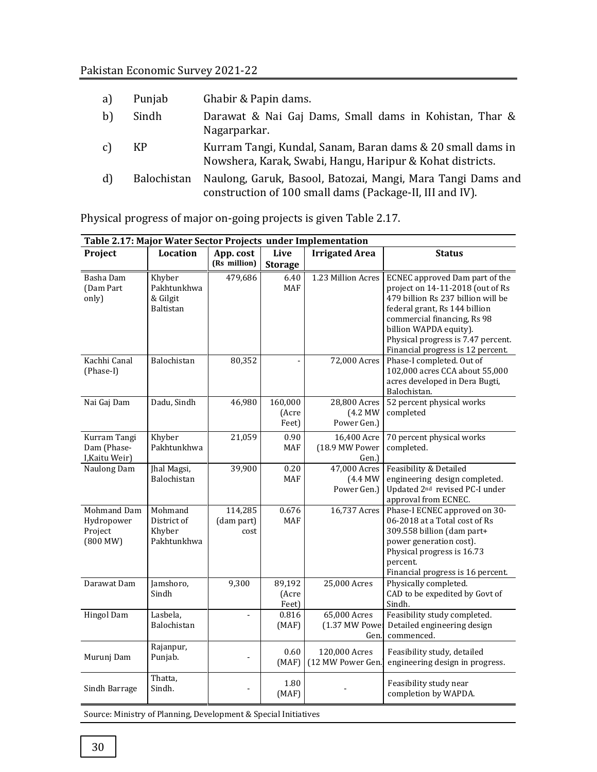| a)           | Punjab             | Ghabir & Papin dams.                                                                                                    |
|--------------|--------------------|-------------------------------------------------------------------------------------------------------------------------|
| $\mathbf{b}$ | Sindh              | Darawat & Nai Gaj Dams, Small dams in Kohistan, Thar &<br>Nagarparkar.                                                  |
| c)           | KP                 | Kurram Tangi, Kundal, Sanam, Baran dams & 20 small dams in<br>Nowshera, Karak, Swabi, Hangu, Haripur & Kohat districts. |
| d            | <b>Balochistan</b> | Naulong, Garuk, Basool, Batozai, Mangi, Mara Tangi Dams and<br>construction of 100 small dams (Package-II, III and IV). |

Physical progress of major on-going projects is given Table 2.17.

| Table 2.17: Major Water Sector Projects under Implementation |                                                 |                               |                           |                                          |                                                                                                                                                                                                                                                                               |  |  |
|--------------------------------------------------------------|-------------------------------------------------|-------------------------------|---------------------------|------------------------------------------|-------------------------------------------------------------------------------------------------------------------------------------------------------------------------------------------------------------------------------------------------------------------------------|--|--|
| Project                                                      | Location                                        | App. cost<br>(Rs million)     | Live<br><b>Storage</b>    | <b>Irrigated Area</b>                    | <b>Status</b>                                                                                                                                                                                                                                                                 |  |  |
|                                                              |                                                 |                               |                           |                                          |                                                                                                                                                                                                                                                                               |  |  |
| Basha Dam<br>(Dam Part<br>only)                              | Khyber<br>Pakhtunkhwa<br>& Gilgit<br>Baltistan  | 479,686                       | 6.40<br>MAF               | 1.23 Million Acres                       | ECNEC approved Dam part of the<br>project on 14-11-2018 (out of Rs<br>479 billion Rs 237 billion will be<br>federal grant, Rs 144 billion<br>commercial financing, Rs 98<br>billion WAPDA equity).<br>Physical progress is 7.47 percent.<br>Financial progress is 12 percent. |  |  |
| Kachhi Canal<br>(Phase-I)                                    | Balochistan                                     | 80,352                        |                           | 72,000 Acres                             | Phase-I completed. Out of<br>102,000 acres CCA about 55,000<br>acres developed in Dera Bugti,<br>Balochistan.                                                                                                                                                                 |  |  |
| Nai Gaj Dam                                                  | Dadu, Sindh                                     | 46,980                        | 160,000<br>(Acre<br>Feet) | 28,800 Acres<br>$(4.2$ MW<br>Power Gen.) | 52 percent physical works<br>completed                                                                                                                                                                                                                                        |  |  |
| Kurram Tangi<br>Dam (Phase-<br>I, Kaitu Weir)                | Khyber<br>Pakhtunkhwa                           | 21,059                        | 0.90<br>MAF               | 16,400 Acre<br>(18.9 MW Power<br>Gen.)   | 70 percent physical works<br>completed.                                                                                                                                                                                                                                       |  |  |
| Naulong Dam                                                  | Jhal Magsi,<br>Balochistan                      | 39,900                        | 0.20<br>MAF               | 47,000 Acres<br>$(4.4$ MW<br>Power Gen.) | Feasibility & Detailed<br>engineering design completed.<br>Updated 2 <sup>nd</sup> revised PC-I under<br>approval from ECNEC.                                                                                                                                                 |  |  |
| Mohmand Dam<br>Hydropower<br>Project<br>(800 MW)             | Mohmand<br>District of<br>Khyber<br>Pakhtunkhwa | 114,285<br>(dam part)<br>cost | 0.676<br>MAF              | 16,737 Acres                             | Phase-I ECNEC approved on 30-<br>06-2018 at a Total cost of Rs<br>309.558 billion (dam part+<br>power generation cost).<br>Physical progress is 16.73<br>percent.<br>Financial progress is 16 percent.                                                                        |  |  |
| Darawat Dam                                                  | Jamshoro,<br>Sindh                              | 9,300                         | 89,192<br>(Acre<br>Feet)  | 25,000 Acres                             | Physically completed.<br>CAD to be expedited by Govt of<br>Sindh.                                                                                                                                                                                                             |  |  |
| <b>Hingol Dam</b>                                            | Lasbela,<br>Balochistan                         |                               | 0.816<br>(MAF)            | 65,000 Acres<br>(1.37 MW Power<br>Gen.l  | Feasibility study completed.<br>Detailed engineering design<br>commenced.                                                                                                                                                                                                     |  |  |
| Murunj Dam                                                   | Rajanpur,<br>Punjab.                            |                               | 0.60<br>(MAF)             | 120,000 Acres<br>(12 MW Power Gen.)      | Feasibility study, detailed<br>engineering design in progress.                                                                                                                                                                                                                |  |  |
| Sindh Barrage                                                | Thatta,<br>Sindh.                               |                               | 1.80<br>(MAF)             |                                          | Feasibility study near<br>completion by WAPDA.                                                                                                                                                                                                                                |  |  |

Source: Ministry of Planning, Development & Special Initiatives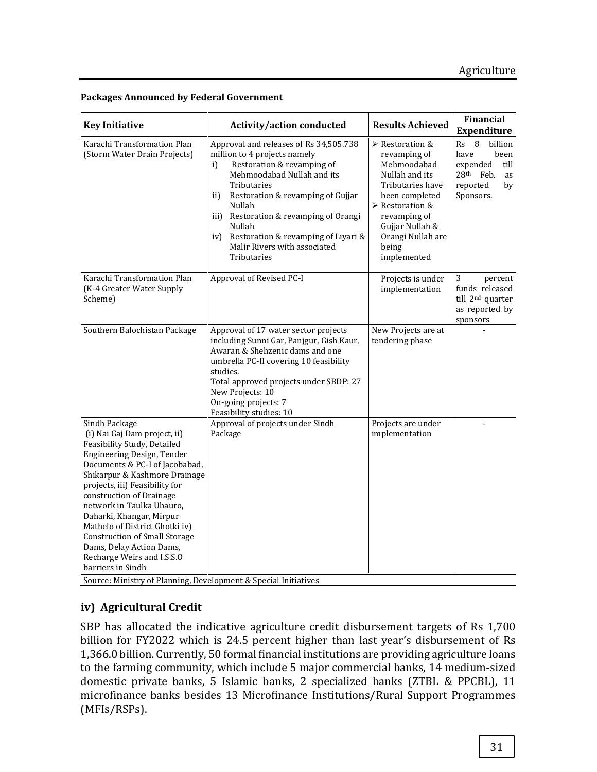| <b>Key Initiative</b>                                                                                                                                                                                                                                                                                                                                                                                                                                         | <b>Activity/action conducted</b>                                                                                                                                                                                                                                                                                                                               | <b>Results Achieved</b>                                                                                                                                                                                                                 | <b>Financial</b>                                                                                                               |
|---------------------------------------------------------------------------------------------------------------------------------------------------------------------------------------------------------------------------------------------------------------------------------------------------------------------------------------------------------------------------------------------------------------------------------------------------------------|----------------------------------------------------------------------------------------------------------------------------------------------------------------------------------------------------------------------------------------------------------------------------------------------------------------------------------------------------------------|-----------------------------------------------------------------------------------------------------------------------------------------------------------------------------------------------------------------------------------------|--------------------------------------------------------------------------------------------------------------------------------|
|                                                                                                                                                                                                                                                                                                                                                                                                                                                               |                                                                                                                                                                                                                                                                                                                                                                |                                                                                                                                                                                                                                         | <b>Expenditure</b>                                                                                                             |
| Karachi Transformation Plan<br>(Storm Water Drain Projects)                                                                                                                                                                                                                                                                                                                                                                                                   | Approval and releases of Rs 34,505.738<br>million to 4 projects namely<br>Restoration & revamping of<br>i)<br>Mehmoodabad Nullah and its<br>Tributaries<br>Restoration & revamping of Gujjar<br>ii)<br>Nullah<br>iii) Restoration & revamping of Orangi<br>Nullah<br>Restoration & revamping of Liyari &<br>iv)<br>Malir Rivers with associated<br>Tributaries | $\triangleright$ Restoration &<br>revamping of<br>Mehmoodabad<br>Nullah and its<br>Tributaries have<br>been completed<br>$\triangleright$ Restoration &<br>revamping of<br>Gujjar Nullah &<br>Orangi Nullah are<br>being<br>implemented | billion<br>Rs<br>8<br>been<br>have<br>expended<br>till<br>28 <sup>th</sup><br>Feb.<br><b>as</b><br>reported<br>by<br>Sponsors. |
| Karachi Transformation Plan<br>(K-4 Greater Water Supply<br>Scheme)                                                                                                                                                                                                                                                                                                                                                                                           | Approval of Revised PC-I                                                                                                                                                                                                                                                                                                                                       | Projects is under<br>implementation                                                                                                                                                                                                     | 3<br>percent<br>funds released<br>till 2 <sup>nd</sup> quarter<br>as reported by<br>sponsors                                   |
| Southern Balochistan Package                                                                                                                                                                                                                                                                                                                                                                                                                                  | Approval of 17 water sector projects<br>including Sunni Gar, Panjgur, Gish Kaur,<br>Awaran & Shehzenic dams and one<br>umbrella PC-II covering 10 feasibility<br>studies.<br>Total approved projects under SBDP: 27<br>New Projects: 10<br>On-going projects: 7<br>Feasibility studies: 10                                                                     | New Projects are at<br>tendering phase                                                                                                                                                                                                  |                                                                                                                                |
| Sindh Package<br>(i) Nai Gaj Dam project, ii)<br>Feasibility Study, Detailed<br>Engineering Design, Tender<br>Documents & PC-I of Jacobabad,<br>Shikarpur & Kashmore Drainage<br>projects, iii) Feasibility for<br>construction of Drainage<br>network in Taulka Ubauro,<br>Daharki, Khangar, Mirpur<br>Mathelo of District Ghotki iv)<br><b>Construction of Small Storage</b><br>Dams, Delay Action Dams,<br>Recharge Weirs and I.S.S.O<br>barriers in Sindh | Approval of projects under Sindh<br>Package                                                                                                                                                                                                                                                                                                                    | Projects are under<br>implementation                                                                                                                                                                                                    |                                                                                                                                |

#### **Packages Announced by Federal Government**

Source: Ministry of Planning, Development & Special Initiatives

# **iv) Agricultural Credit**

SBP has allocated the indicative agriculture credit disbursement targets of Rs 1,700 billion for FY2022 which is 24.5 percent higher than last year's disbursement of Rs 1,366.0 billion. Currently, 50 formal financial institutions are providing agriculture loans to the farming community, which include 5 major commercial banks, 14 medium-sized domestic private banks, 5 Islamic banks, 2 specialized banks (ZTBL & PPCBL), 11 microfinance banks besides 13 Microfinance Institutions/Rural Support Programmes (MFIs/RSPs).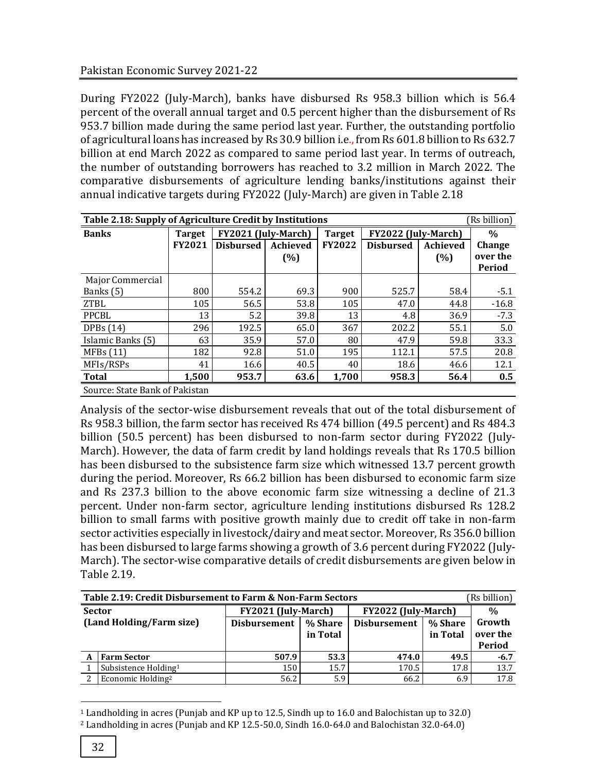During FY2022 (July-March), banks have disbursed Rs 958.3 billion which is 56.4 percent of the overall annual target and 0.5 percent higher than the disbursement of Rs 953.7 billion made during the same period last year. Further, the outstanding portfolio of agricultural loans has increased by Rs 30.9 billion i.e., from Rs 601.8 billion to Rs 632.7 billion at end March 2022 as compared to same period last year. In terms of outreach, the number of outstanding borrowers has reached to 3.2 million in March 2022. The comparative disbursements of agriculture lending banks/institutions against their annual indicative targets during FY2022 (July-March) are given in Table 2.18

| Table 2.18: Supply of Agriculture Credit by Institutions<br>(Rs billion) |               |                     |                                |               |                     |                 |               |  |  |  |  |
|--------------------------------------------------------------------------|---------------|---------------------|--------------------------------|---------------|---------------------|-----------------|---------------|--|--|--|--|
| <b>Banks</b>                                                             | <b>Target</b> | FY2021 (July-March) |                                | <b>Target</b> | FY2022 (July-March) |                 | $\frac{0}{0}$ |  |  |  |  |
|                                                                          | <b>FY2021</b> | <b>Disbursed</b>    | Achieved                       | <b>FY2022</b> | <b>Disbursed</b>    | <b>Achieved</b> | Change        |  |  |  |  |
|                                                                          |               |                     | (%)                            |               |                     | (%)             | over the      |  |  |  |  |
|                                                                          |               |                     |                                |               |                     |                 | Period        |  |  |  |  |
| Major Commercial                                                         |               |                     |                                |               |                     |                 |               |  |  |  |  |
| Banks (5)                                                                | 800           | 554.2               | 69.3                           | 900           | 525.7               | 58.4            | $-5.1$        |  |  |  |  |
| <b>ZTBL</b>                                                              | 105           | 56.5                | 53.8                           | 105           | 47.0                | 44.8            | $-16.8$       |  |  |  |  |
| PPCBL                                                                    | 13            | 5.2                 | 39.8                           | 13            | 4.8                 | 36.9            | $-7.3$        |  |  |  |  |
| DPBs(14)                                                                 | 296           | 192.5               | 65.0                           | 367           | 202.2               | 55.1            | 5.0           |  |  |  |  |
| Islamic Banks (5)                                                        | 63            | 35.9                | 57.0                           | 80            | 47.9                | 59.8            | 33.3          |  |  |  |  |
| MFBs(11)                                                                 | 182           | 92.8                | 51.0                           | 195           | 112.1               | 57.5            | 20.8          |  |  |  |  |
| MFIs/RSPs                                                                | 41            | 16.6                | 40.5                           | 40            | 18.6                | 46.6            | 12.1          |  |  |  |  |
| <b>Total</b>                                                             | 1,500         | 953.7               | 63.6                           | 1,700         | 958.3               | 56.4            | 0.5           |  |  |  |  |
|                                                                          |               |                     | Source: State Bank of Pakistan |               |                     |                 |               |  |  |  |  |

Analysis of the sector-wise disbursement reveals that out of the total disbursement of Rs 958.3 billion, the farm sector has received Rs 474 billion (49.5 percent) and Rs 484.3 billion (50.5 percent) has been disbursed to non-farm sector during FY2022 (July-March). However, the data of farm credit by land holdings reveals that Rs 170.5 billion has been disbursed to the subsistence farm size which witnessed 13.7 percent growth during the period. Moreover, Rs 66.2 billion has been disbursed to economic farm size and Rs 237.3 billion to the above economic farm size witnessing a decline of 21.3 percent. Under non-farm sector, agriculture lending institutions disbursed Rs 128.2 billion to small farms with positive growth mainly due to credit off take in non-farm sector activities especially in livestock/dairy and meat sector. Moreover, Rs 356.0 billion has been disbursed to large farms showing a growth of 3.6 percent during FY2022 (July-March). The sector-wise comparative details of credit disbursements are given below in Table 2.19.

|               | Table 2.19: Credit Disbursement to Farm & Non-Farm Sectors<br>(Rs billion) |                     |                     |                     |                     |                              |  |
|---------------|----------------------------------------------------------------------------|---------------------|---------------------|---------------------|---------------------|------------------------------|--|
| <b>Sector</b> |                                                                            | FY2021 (July-March) |                     | FY2022 (July-March) |                     | $\frac{0}{0}$                |  |
|               | (Land Holding/Farm size)                                                   | <b>Disbursement</b> | % Share<br>in Total | <b>Disbursement</b> | % Share<br>in Total | Growth<br>over the<br>Period |  |
|               | <b>Farm Sector</b>                                                         | 507.9               | 53.3                | 474.0               | 49.5                | $-6.7$                       |  |
|               | Subsistence Holding <sup>1</sup>                                           | 150                 | 15.7                | 170.5               | 17.8                | 13.7                         |  |
|               | Economic Holding <sup>2</sup>                                              | 56.2                | 5.9                 | 66.2                | 6.9                 | 17.8                         |  |

 $\overline{a}$ <sup>1</sup> Landholding in acres (Punjab and KP up to 12.5, Sindh up to 16.0 and Balochistan up to 32.0)

<sup>2</sup> Landholding in acres (Punjab and KP 12.5-50.0, Sindh 16.0-64.0 and Balochistan 32.0-64.0)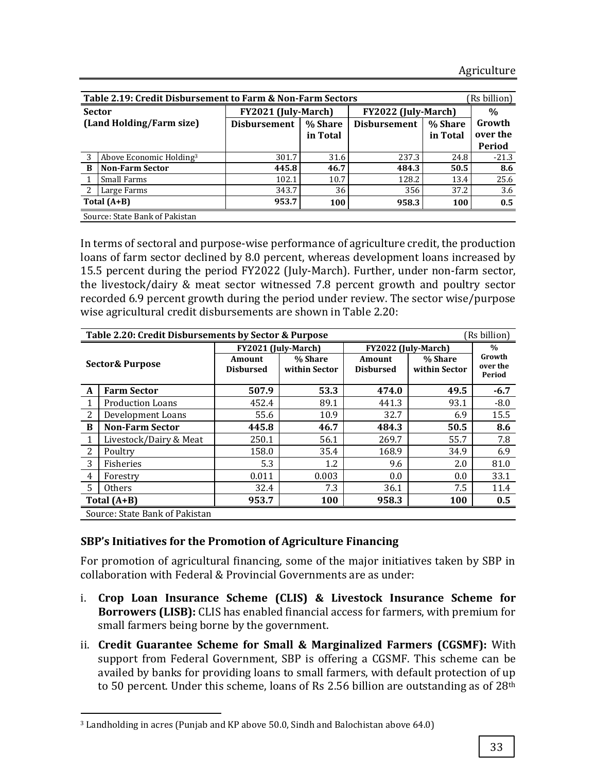|   | (Rs billion)<br>Table 2.19: Credit Disbursement to Farm & Non-Farm Sectors |                     |          |                     |               |          |  |  |
|---|----------------------------------------------------------------------------|---------------------|----------|---------------------|---------------|----------|--|--|
|   | <b>Sector</b>                                                              | FY2021 (July-March) |          | FY2022 (July-March) | $\frac{0}{0}$ |          |  |  |
|   | (Land Holding/Farm size)                                                   | <b>Disbursement</b> | % Share  | <b>Disbursement</b> | % Share       | Growth   |  |  |
|   |                                                                            |                     | in Total |                     | in Total      | over the |  |  |
|   |                                                                            |                     |          |                     |               | Period   |  |  |
|   | Above Economic Holding <sup>3</sup>                                        | 301.7               | 31.6     | 237.3               | 24.8          | $-21.3$  |  |  |
| B | <b>Non-Farm Sector</b>                                                     | 445.8               | 46.7     | 484.3               | 50.5          | 8.6      |  |  |
|   | Small Farms                                                                | 102.1               | 10.7     | 128.2               | 13.4          | 25.6     |  |  |
|   | Large Farms                                                                | 343.7               | 36       | 356                 | 37.2          | 3.6      |  |  |
|   | Total $(A+B)$                                                              | 953.7               | 100      | 958.3               | 100           | 0.5      |  |  |
|   | Source: State Bank of Pakistan                                             |                     |          |                     |               |          |  |  |

In terms of sectoral and purpose-wise performance of agriculture credit, the production loans of farm sector declined by 8.0 percent, whereas development loans increased by 15.5 percent during the period FY2022 (July-March). Further, under non-farm sector, the livestock/dairy & meat sector witnessed 7.8 percent growth and poultry sector recorded 6.9 percent growth during the period under review. The sector wise/purpose wise agricultural credit disbursements are shown in Table 2.20:

|                                               | Table 2.20: Credit Disbursements by Sector & Purpose<br>(Rs billion) |                            |                          |                            |                          |                              |  |
|-----------------------------------------------|----------------------------------------------------------------------|----------------------------|--------------------------|----------------------------|--------------------------|------------------------------|--|
| <b>Sector&amp; Purpose</b>                    |                                                                      |                            | FY2021 (July-March)      | FY2022 (July-March)        | $\frac{0}{0}$            |                              |  |
|                                               |                                                                      | Amount<br><b>Disbursed</b> | % Share<br>within Sector | Amount<br><b>Disbursed</b> | % Share<br>within Sector | Growth<br>over the<br>Period |  |
| A                                             | <b>Farm Sector</b>                                                   | 507.9                      | 53.3                     | 474.0                      | 49.5                     | $-6.7$                       |  |
|                                               | <b>Production Loans</b>                                              | 452.4                      | 89.1                     | 441.3                      | 93.1                     | $-8.0$                       |  |
| 2                                             | Development Loans                                                    | 55.6                       | 10.9                     | 32.7                       | 6.9                      | 15.5                         |  |
| B                                             | <b>Non-Farm Sector</b>                                               | 445.8                      | 46.7                     | 484.3                      | 50.5                     | 8.6                          |  |
|                                               | Livestock/Dairy & Meat                                               | 250.1                      | 56.1                     | 269.7                      | 55.7                     | 7.8                          |  |
| 2                                             | Poultry                                                              | 158.0                      | 35.4                     | 168.9                      | 34.9                     | 6.9                          |  |
| 3                                             | Fisheries                                                            | 5.3                        | 1.2                      | 9.6                        | 2.0                      | 81.0                         |  |
| 4                                             | Forestry                                                             | 0.011                      | 0.003                    | 0.0                        | 0.0                      | 33.1                         |  |
| .5                                            | <b>Others</b>                                                        | 32.4                       | 7.3                      | 36.1                       | 7.5                      | 11.4                         |  |
| 953.7<br>958.3<br>Total $(A+B)$<br><b>100</b> |                                                                      |                            |                          |                            | <b>100</b>               | 0.5                          |  |
|                                               | Source: State Bank of Pakistan                                       |                            |                          |                            |                          |                              |  |

#### **SBP's Initiatives for the Promotion of Agriculture Financing**

For promotion of agricultural financing, some of the major initiatives taken by SBP in collaboration with Federal & Provincial Governments are as under:

- i. **Crop Loan Insurance Scheme (CLIS) & Livestock Insurance Scheme for Borrowers (LISB):** CLIS has enabled financial access for farmers, with premium for small farmers being borne by the government.
- ii. **Credit Guarantee Scheme for Small & Marginalized Farmers (CGSMF):** With support from Federal Government, SBP is offering a CGSMF. This scheme can be availed by banks for providing loans to small farmers, with default protection of up to 50 percent. Under this scheme, loans of Rs 2.56 billion are outstanding as of 28th

 $\overline{a}$ 

<sup>3</sup> Landholding in acres (Punjab and KP above 50.0, Sindh and Balochistan above 64.0)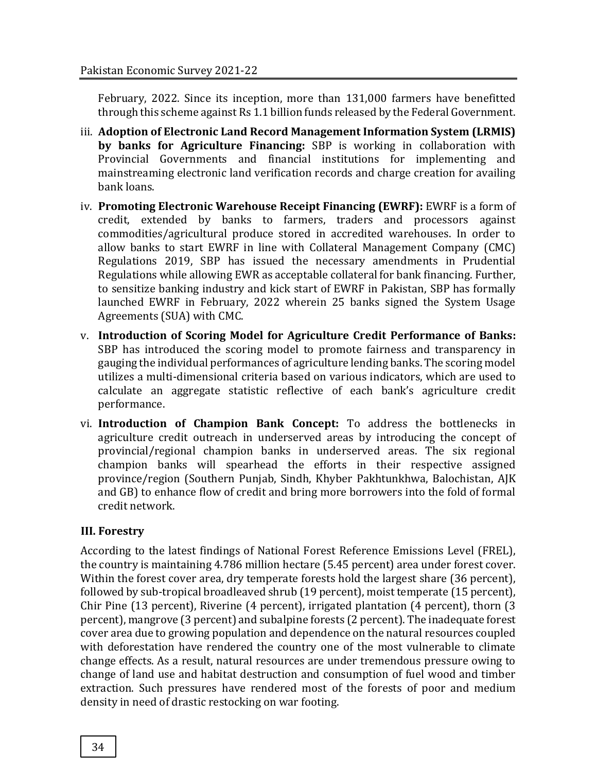February, 2022. Since its inception, more than 131,000 farmers have benefitted through this scheme against Rs 1.1 billion funds released by the Federal Government.

- iii. **Adoption of Electronic Land Record Management Information System (LRMIS) by banks for Agriculture Financing:** SBP is working in collaboration with Provincial Governments and financial institutions for implementing and mainstreaming electronic land verification records and charge creation for availing bank loans.
- iv. **Promoting Electronic Warehouse Receipt Financing (EWRF):** EWRF is a form of credit, extended by banks to farmers, traders and processors against commodities/agricultural produce stored in accredited warehouses. In order to allow banks to start EWRF in line with Collateral Management Company (CMC) Regulations 2019, SBP has issued the necessary amendments in Prudential Regulations while allowing EWR as acceptable collateral for bank financing. Further, to sensitize banking industry and kick start of EWRF in Pakistan, SBP has formally launched EWRF in February, 2022 wherein 25 banks signed the System Usage Agreements (SUA) with CMC.
- v. **Introduction of Scoring Model for Agriculture Credit Performance of Banks:**  SBP has introduced the scoring model to promote fairness and transparency in gauging the individual performances of agriculture lending banks. The scoring model utilizes a multi-dimensional criteria based on various indicators, which are used to calculate an aggregate statistic reflective of each bank's agriculture credit performance.
- vi. **Introduction of Champion Bank Concept:** To address the bottlenecks in agriculture credit outreach in underserved areas by introducing the concept of provincial/regional champion banks in underserved areas. The six regional champion banks will spearhead the efforts in their respective assigned province/region (Southern Punjab, Sindh, Khyber Pakhtunkhwa, Balochistan, AJK and GB) to enhance flow of credit and bring more borrowers into the fold of formal credit network.

# **III. Forestry**

According to the latest findings of National Forest Reference Emissions Level (FREL), the country is maintaining 4.786 million hectare (5.45 percent) area under forest cover. Within the forest cover area, dry temperate forests hold the largest share (36 percent), followed by sub-tropical broadleaved shrub (19 percent), moist temperate (15 percent), Chir Pine (13 percent), Riverine (4 percent), irrigated plantation (4 percent), thorn (3 percent), mangrove (3 percent) and subalpine forests (2 percent). The inadequate forest cover area due to growing population and dependence on the natural resources coupled with deforestation have rendered the country one of the most vulnerable to climate change effects. As a result, natural resources are under tremendous pressure owing to change of land use and habitat destruction and consumption of fuel wood and timber extraction. Such pressures have rendered most of the forests of poor and medium density in need of drastic restocking on war footing.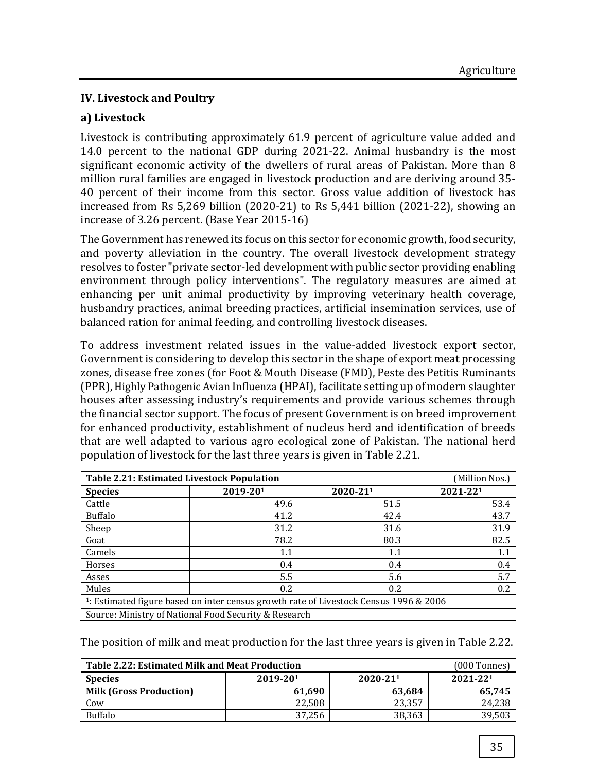# **IV. Livestock and Poultry**

## **a) Livestock**

Livestock is contributing approximately 61.9 percent of agriculture value added and 14.0 percent to the national GDP during 2021-22. Animal husbandry is the most significant economic activity of the dwellers of rural areas of Pakistan. More than 8 million rural families are engaged in livestock production and are deriving around 35- 40 percent of their income from this sector. Gross value addition of livestock has increased from Rs 5,269 billion (2020-21) to Rs 5,441 billion (2021-22), showing an increase of 3.26 percent. (Base Year 2015-16)

The Government has renewed its focus on this sector for economic growth, food security, and poverty alleviation in the country. The overall livestock development strategy resolves to foster "private sector-led development with public sector providing enabling environment through policy interventions". The regulatory measures are aimed at enhancing per unit animal productivity by improving veterinary health coverage, husbandry practices, animal breeding practices, artificial insemination services, use of balanced ration for animal feeding, and controlling livestock diseases.

To address investment related issues in the value-added livestock export sector, Government is considering to develop this sector in the shape of export meat processing zones, disease free zones (for Foot & Mouth Disease (FMD), Peste des Petitis Ruminants (PPR), [Highly Pathogenic Avian Influenza](https://www.cdc.gov/flu/avianflu/h5n1-animals.htm) (HPAI), facilitate setting up of modern slaughter houses after assessing industry's requirements and provide various schemes through the financial sector support. The focus of present Government is on breed improvement for enhanced productivity, establishment of nucleus herd and identification of breeds that are well adapted to various agro ecological zone of Pakistan. The national herd population of livestock for the last three years is given in Table 2.21.

| <b>Table 2.21: Estimated Livestock Population</b><br>(Million Nos.)                               |                                                       |          |          |  |  |  |  |
|---------------------------------------------------------------------------------------------------|-------------------------------------------------------|----------|----------|--|--|--|--|
| <b>Species</b>                                                                                    | 2019-201                                              | 2020-211 | 2021-221 |  |  |  |  |
| Cattle                                                                                            | 49.6                                                  | 51.5     | 53.4     |  |  |  |  |
| <b>Buffalo</b>                                                                                    | 41.2                                                  | 42.4     | 43.7     |  |  |  |  |
| Sheep                                                                                             | 31.2                                                  | 31.6     | 31.9     |  |  |  |  |
| Goat                                                                                              | 78.2                                                  | 80.3     | 82.5     |  |  |  |  |
| Camels                                                                                            | 1.1                                                   | $1.1\,$  | 1.1      |  |  |  |  |
| Horses                                                                                            | 0.4                                                   | 0.4      | 0.4      |  |  |  |  |
| Asses                                                                                             | 5.5                                                   | 5.6      | 5.7      |  |  |  |  |
| Mules<br>$0.2^{\circ}$<br>0.2<br>0.2                                                              |                                                       |          |          |  |  |  |  |
| <sup>1</sup> : Estimated figure based on inter census growth rate of Livestock Census 1996 & 2006 |                                                       |          |          |  |  |  |  |
|                                                                                                   | Source: Ministry of National Food Security & Research |          |          |  |  |  |  |

The position of milk and meat production for the last three years is given in Table 2.22.

| <b>Table 2.22: Estimated Milk and Meat Production</b><br>$(000$ Tonnes) |          |          |          |  |  |  |
|-------------------------------------------------------------------------|----------|----------|----------|--|--|--|
| <b>Species</b>                                                          | 2019-201 | 2020-211 | 2021-221 |  |  |  |
| <b>Milk (Gross Production)</b>                                          | 61,690   | 63.684   | 65,745   |  |  |  |
| Cow                                                                     | 22.508   | 23,357   | 24,238   |  |  |  |
| <b>Buffalo</b>                                                          | 37.256   | 38.363   | 39,503   |  |  |  |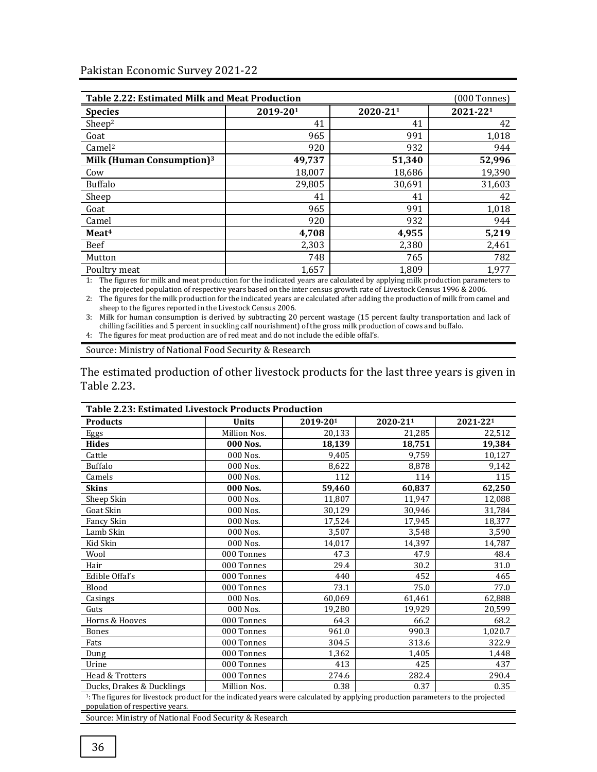| <b>Table 2.22: Estimated Milk and Meat Production</b><br>(000 Tonnes) |          |          |          |  |  |  |
|-----------------------------------------------------------------------|----------|----------|----------|--|--|--|
| <b>Species</b>                                                        | 2019-201 | 2020-211 | 2021-221 |  |  |  |
| Sheep <sup>2</sup>                                                    | 41       | 41       | 42       |  |  |  |
| Goat                                                                  | 965      | 991      | 1,018    |  |  |  |
| Camel <sup>2</sup>                                                    | 920      | 932      | 944      |  |  |  |
| Milk (Human Consumption) $3$                                          | 49,737   | 51,340   | 52,996   |  |  |  |
| Cow                                                                   | 18,007   | 18,686   | 19,390   |  |  |  |
| <b>Buffalo</b>                                                        | 29,805   | 30,691   | 31,603   |  |  |  |
| Sheep                                                                 | 41       | 41       | 42       |  |  |  |
| Goat                                                                  | 965      | 991      | 1,018    |  |  |  |
| Camel                                                                 | 920      | 932      | 944      |  |  |  |
| Meat <sup>4</sup>                                                     | 4,708    | 4,955    | 5,219    |  |  |  |
| Beef                                                                  | 2,303    | 2,380    | 2,461    |  |  |  |
| Mutton                                                                | 748      | 765      | 782      |  |  |  |
| Poultry meat                                                          | 1.657    | 1.809    | 1.977    |  |  |  |

1: The figures for milk and meat production for the indicated years are calculated by applying milk production parameters to the projected population of respective years based on the inter census growth rate of Livestock Census 1996 & 2006.

2: The figures for the milk production for the indicated years are calculated after adding the production of milk from camel and sheep to the figures reported in the Livestock Census 2006.

3: Milk for human consumption is derived by subtracting 20 percent wastage (15 percent faulty transportation and lack of chilling facilities and 5 percent in suckling calf nourishment) of the gross milk production of cows and buffalo.

4: The figures for meat production are of red meat and do not include the edible offal's.

Source: Ministry of National Food Security & Research

The estimated production of other livestock products for the last three years is given in Table 2.23.

| <b>Table 2.23: Estimated Livestock Products Production</b> |              |          |          |          |  |  |  |  |
|------------------------------------------------------------|--------------|----------|----------|----------|--|--|--|--|
| <b>Products</b>                                            | <b>Units</b> | 2019-201 | 2020-211 | 2021-221 |  |  |  |  |
| Eggs                                                       | Million Nos. | 20,133   | 21,285   | 22,512   |  |  |  |  |
| <b>Hides</b>                                               | 000 Nos.     | 18,139   | 18,751   | 19,384   |  |  |  |  |
| Cattle                                                     | $000$ Nos.   | 9.405    | 9.759    | 10,127   |  |  |  |  |
| <b>Buffalo</b>                                             | 000 Nos.     | 8,622    | 8,878    | 9,142    |  |  |  |  |
| Camels                                                     | 000 Nos.     | 112      | 114      | 115      |  |  |  |  |
| <b>Skins</b>                                               | 000 Nos.     | 59,460   | 60,837   | 62,250   |  |  |  |  |
| Sheep Skin                                                 | 000 Nos.     | 11,807   | 11,947   | 12,088   |  |  |  |  |
| Goat Skin                                                  | 000 Nos.     | 30,129   | 30,946   | 31,784   |  |  |  |  |
| Fancy Skin                                                 | 000 Nos.     | 17,524   | 17,945   | 18,377   |  |  |  |  |
| Lamb Skin                                                  | 000 Nos.     | 3,507    | 3,548    | 3,590    |  |  |  |  |
| Kid Skin                                                   | 000 Nos.     | 14,017   | 14,397   | 14,787   |  |  |  |  |
| Wool                                                       | 000 Tonnes   | 47.3     | 47.9     | 48.4     |  |  |  |  |
| Hair                                                       | 000 Tonnes   | 29.4     | 30.2     | 31.0     |  |  |  |  |
| Edible Offal's                                             | 000 Tonnes   | 440      | 452      | 465      |  |  |  |  |
| Blood                                                      | 000 Tonnes   | 73.1     | 75.0     | 77.0     |  |  |  |  |
| Casings                                                    | 000 Nos.     | 60,069   | 61,461   | 62,888   |  |  |  |  |
| Guts                                                       | 000 Nos.     | 19,280   | 19,929   | 20,599   |  |  |  |  |
| Horns & Hooves                                             | 000 Tonnes   | 64.3     | 66.2     | 68.2     |  |  |  |  |
| Bones                                                      | 000 Tonnes   | 961.0    | 990.3    | 1,020.7  |  |  |  |  |
| Fats                                                       | 000 Tonnes   | 304.5    | 313.6    | 322.9    |  |  |  |  |
| Dung                                                       | 000 Tonnes   | 1,362    | 1,405    | 1,448    |  |  |  |  |
| Urine                                                      | 000 Tonnes   | 413      | 425      | 437      |  |  |  |  |
| Head & Trotters                                            | 000 Tonnes   | 274.6    | 282.4    | 290.4    |  |  |  |  |
| Ducks, Drakes & Ducklings                                  | Million Nos. | 0.38     | 0.37     | 0.35     |  |  |  |  |

<sup>1</sup>: The figures for livestock product for the indicated years were calculated by applying production parameters to the projected population of respective years.

Source: Ministry of National Food Security & Research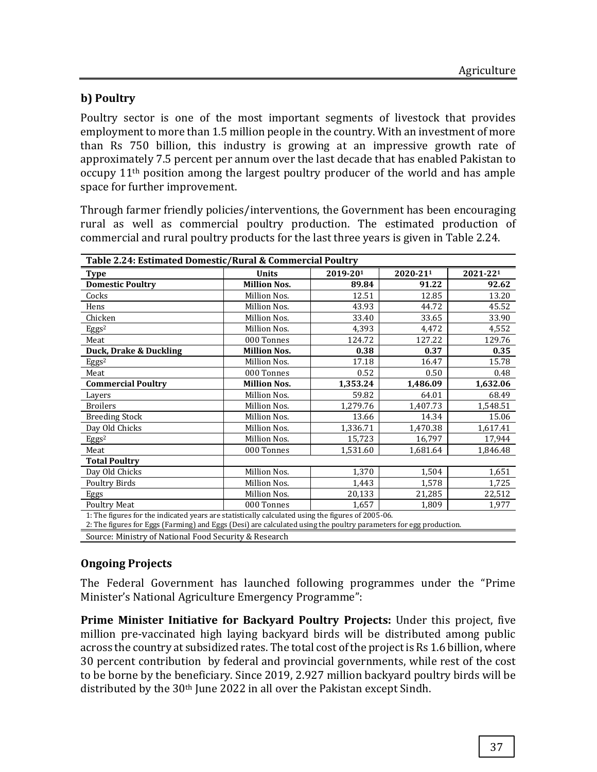# **b) Poultry**

Poultry sector is one of the most important segments of livestock that provides employment to more than 1.5 million people in the country. With an investment of more than Rs 750 billion, this industry is growing at an impressive growth rate of approximately 7.5 percent per annum over the last decade that has enabled Pakistan to occupy 11th position among the largest poultry producer of the world and has ample space for further improvement.

Through farmer friendly policies/interventions, the Government has been encouraging rural as well as commercial poultry production. The estimated production of commercial and rural poultry products for the last three years is given in Table 2.24.

| Table 2.24: Estimated Domestic/Rural & Commercial Poultry                                                                                                                                                                                                                                                                          |                     |          |          |          |  |  |  |
|------------------------------------------------------------------------------------------------------------------------------------------------------------------------------------------------------------------------------------------------------------------------------------------------------------------------------------|---------------------|----------|----------|----------|--|--|--|
| Type                                                                                                                                                                                                                                                                                                                               | <b>Units</b>        | 2019-201 | 2020-211 | 2021-221 |  |  |  |
| <b>Domestic Poultry</b>                                                                                                                                                                                                                                                                                                            | <b>Million Nos.</b> | 89.84    | 91.22    | 92.62    |  |  |  |
| Cocks                                                                                                                                                                                                                                                                                                                              | Million Nos.        | 12.51    | 12.85    | 13.20    |  |  |  |
| Hens                                                                                                                                                                                                                                                                                                                               | Million Nos.        | 43.93    | 44.72    | 45.52    |  |  |  |
| Chicken                                                                                                                                                                                                                                                                                                                            | Million Nos.        | 33.40    | 33.65    | 33.90    |  |  |  |
| Eggs <sup>2</sup>                                                                                                                                                                                                                                                                                                                  | Million Nos.        | 4,393    | 4,472    | 4,552    |  |  |  |
| Meat                                                                                                                                                                                                                                                                                                                               | 000 Tonnes          | 124.72   | 127.22   | 129.76   |  |  |  |
| Duck, Drake & Duckling                                                                                                                                                                                                                                                                                                             | <b>Million Nos.</b> | 0.38     | 0.37     | 0.35     |  |  |  |
| Eggs <sup>2</sup>                                                                                                                                                                                                                                                                                                                  | Million Nos.        | 17.18    | 16.47    | 15.78    |  |  |  |
| Meat                                                                                                                                                                                                                                                                                                                               | 000 Tonnes          | 0.52     | 0.50     | 0.48     |  |  |  |
| <b>Commercial Poultry</b>                                                                                                                                                                                                                                                                                                          | <b>Million Nos.</b> | 1,353.24 | 1,486.09 | 1,632.06 |  |  |  |
| Layers                                                                                                                                                                                                                                                                                                                             | Million Nos.        | 59.82    | 64.01    | 68.49    |  |  |  |
| <b>Broilers</b>                                                                                                                                                                                                                                                                                                                    | Million Nos.        | 1,279.76 | 1,407.73 | 1,548.51 |  |  |  |
| <b>Breeding Stock</b>                                                                                                                                                                                                                                                                                                              | Million Nos.        | 13.66    | 14.34    | 15.06    |  |  |  |
| Day Old Chicks                                                                                                                                                                                                                                                                                                                     | Million Nos.        | 1,336.71 | 1,470.38 | 1,617.41 |  |  |  |
| Eggs <sup>2</sup>                                                                                                                                                                                                                                                                                                                  | Million Nos.        | 15,723   | 16,797   | 17,944   |  |  |  |
| Meat                                                                                                                                                                                                                                                                                                                               | 000 Tonnes          | 1,531.60 | 1,681.64 | 1,846.48 |  |  |  |
| <b>Total Poultry</b>                                                                                                                                                                                                                                                                                                               |                     |          |          |          |  |  |  |
| Day Old Chicks                                                                                                                                                                                                                                                                                                                     | Million Nos.        | 1,370    | 1,504    | 1,651    |  |  |  |
| <b>Poultry Birds</b>                                                                                                                                                                                                                                                                                                               | Million Nos.        | 1,443    | 1,578    | 1,725    |  |  |  |
| Eggs                                                                                                                                                                                                                                                                                                                               | Million Nos.        | 20,133   | 21,285   | 22,512   |  |  |  |
| <b>Poultry Meat</b>                                                                                                                                                                                                                                                                                                                | 000 Tonnes          | 1,657    | 1,809    | 1,977    |  |  |  |
| 1: The figures for the indicated years are statistically calculated using the figures of 2005-06.<br>2: The figures for Eggs (Farming) and Eggs (Desi) are calculated using the poultry parameters for egg production.                                                                                                             |                     |          |          |          |  |  |  |
| $\mathbf{M}$ $\mathbf{M}$ $\mathbf{M}$ $\mathbf{M}$ $\mathbf{M}$ $\mathbf{M}$ $\mathbf{M}$ $\mathbf{M}$ $\mathbf{M}$ $\mathbf{M}$ $\mathbf{M}$ $\mathbf{M}$ $\mathbf{M}$ $\mathbf{M}$ $\mathbf{M}$ $\mathbf{M}$ $\mathbf{M}$ $\mathbf{M}$ $\mathbf{M}$ $\mathbf{M}$ $\mathbf{M}$ $\mathbf{M}$ $\mathbf{M}$ $\mathbf{M}$ $\mathbf{$ |                     |          |          |          |  |  |  |

Source: Ministry of National Food Security & Research

# **Ongoing Projects**

The Federal Government has launched following programmes under the "Prime Minister's National Agriculture Emergency Programme":

**Prime Minister Initiative for Backyard Poultry Projects:** Under this project, five million pre-vaccinated high laying backyard birds will be distributed among public across the country at subsidized rates. The total cost of the project is Rs 1.6 billion, where 30 percent contribution by federal and provincial governments, while rest of the cost to be borne by the beneficiary. Since 2019, 2.927 million backyard poultry birds will be distributed by the 30th June 2022 in all over the Pakistan except Sindh.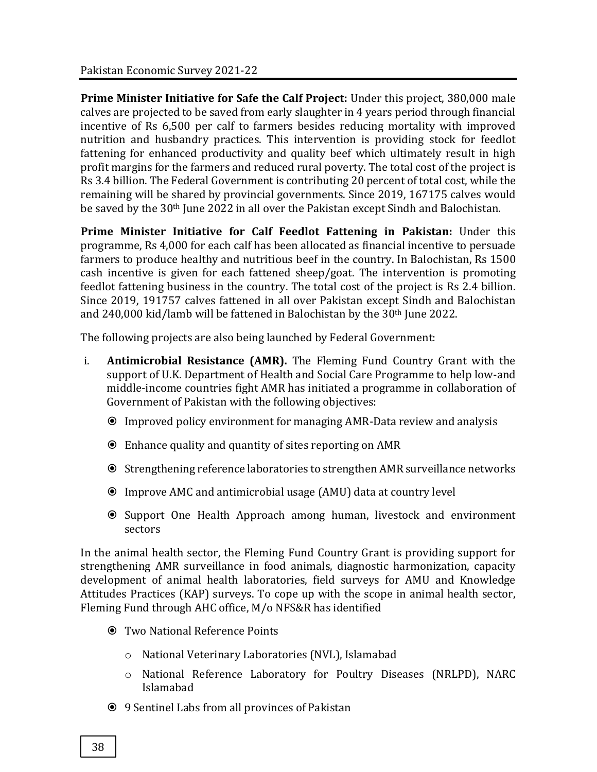**Prime Minister Initiative for Safe the Calf Project:** Under this project, 380,000 male calves are projected to be saved from early slaughter in 4 years period through financial incentive of Rs 6,500 per calf to farmers besides reducing mortality with improved nutrition and husbandry practices. This intervention is providing stock for feedlot fattening for enhanced productivity and quality beef which ultimately result in high profit margins for the farmers and reduced rural poverty. The total cost of the project is Rs 3.4 billion. The Federal Government is contributing 20 percent of total cost, while the remaining will be shared by provincial governments. Since 2019, 167175 calves would be saved by the 30th June 2022 in all over the Pakistan except Sindh and Balochistan.

**Prime Minister Initiative for Calf Feedlot Fattening in Pakistan:** Under this programme, Rs 4,000 for each calf has been allocated as financial incentive to persuade farmers to produce healthy and nutritious beef in the country. In Balochistan, Rs 1500 cash incentive is given for each fattened sheep/goat. The intervention is promoting feedlot fattening business in the country. The total cost of the project is Rs 2.4 billion. Since 2019, 191757 calves fattened in all over Pakistan except Sindh and Balochistan and 240,000 kid/lamb will be fattened in Balochistan by the 30th June 2022.

The following projects are also being launched by Federal Government:

- i. **Antimicrobial Resistance (AMR).** The Fleming Fund Country Grant with the support of U.K. Department of Health and Social Care Programme to help low-and middle-income countries fight AMR has initiated a programme in collaboration of Government of Pakistan with the following objectives:
	- Improved policy environment for managing AMR-Data review and analysis
	- Enhance quality and quantity of sites reporting on AMR
	- Strengthening reference laboratories to strengthen AMR surveillance networks
	- Improve AMC and antimicrobial usage (AMU) data at country level
	- Support One Health Approach among human, livestock and environment sectors

In the animal health sector, the Fleming Fund Country Grant is providing support for strengthening AMR surveillance in food animals, diagnostic harmonization, capacity development of animal health laboratories, field surveys for AMU and Knowledge Attitudes Practices (KAP) surveys. To cope up with the scope in animal health sector, Fleming Fund through AHC office, M/o NFS&R has identified

- Two National Reference Points
	- o National Veterinary Laboratories (NVL), Islamabad
	- o National Reference Laboratory for Poultry Diseases (NRLPD), NARC Islamabad
- 9 Sentinel Labs from all provinces of Pakistan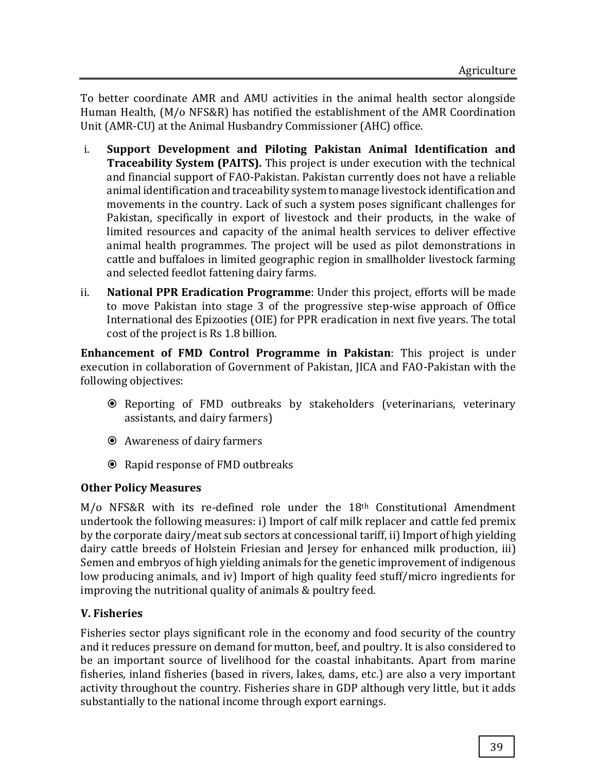To better coordinate AMR and AMU activities in the animal health sector alongside Human Health, (M/o NFS&R) has notified the establishment of the AMR Coordination Unit (AMR-CU) at the Animal Husbandry Commissioner (AHC) office.

- i. **Support Development and Piloting Pakistan Animal Identification and Traceability System (PAITS).** This project is under execution with the technical and financial support of FAO-Pakistan. Pakistan currently does not have a reliable animal identification and traceability system to manage livestock identification and movements in the country. Lack of such a system poses significant challenges for Pakistan, specifically in export of livestock and their products, in the wake of limited resources and capacity of the animal health services to deliver effective animal health programmes. The project will be used as pilot demonstrations in cattle and buffaloes in limited geographic region in smallholder livestock farming and selected feedlot fattening dairy farms.
- ii. **National PPR Eradication Programme**: Under this project, efforts will be made to move Pakistan into stage 3 of the progressive step-wise approach of Office International des Epizooties (OIE) for PPR eradication in next five years. The total cost of the project is Rs 1.8 billion.

**Enhancement of FMD Control Programme in Pakistan**: This project is under execution in collaboration of Government of Pakistan, JICA and FAO-Pakistan with the following objectives:

- Reporting of FMD outbreaks by stakeholders (veterinarians, veterinary assistants, and dairy farmers)
- Awareness of dairy farmers
- **☉** Rapid response of FMD outbreaks

# **Other Policy Measures**

M/o NFS&R with its re-defined role under the 18th Constitutional Amendment undertook the following measures: i) Import of calf milk replacer and cattle fed premix by the corporate dairy/meat sub sectors at concessional tariff, ii) Import of high yielding dairy cattle breeds of Holstein Friesian and Jersey for enhanced milk production, iii) Semen and embryos of high yielding animals for the genetic improvement of indigenous low producing animals, and iv) Import of high quality feed stuff/micro ingredients for improving the nutritional quality of animals & poultry feed.

# **V. Fisheries**

Fisheries sector plays significant role in the economy and food security of the country and it reduces pressure on demand for mutton, beef, and poultry. It is also considered to be an important source of livelihood for the coastal inhabitants. Apart from marine fisheries, inland fisheries (based in rivers, lakes, dams, etc.) are also a very important activity throughout the country. Fisheries share in GDP although very little, but it adds substantially to the national income through export earnings.